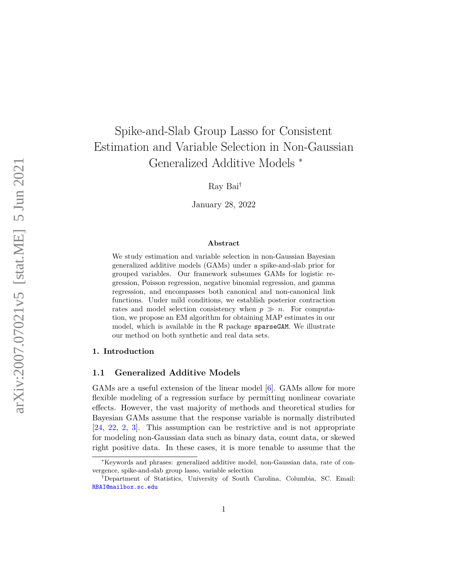# Spike-and-Slab Group Lasso for Consistent Estimation and Variable Selection in Non-Gaussian Generalized Additive Models <sup>∗</sup>

Ray Bai†

January 28, 2022

#### **Abstract**

We study estimation and variable selection in non-Gaussian Bayesian generalized additive models (GAMs) under a spike-and-slab prior for grouped variables. Our framework subsumes GAMs for logistic regression, Poisson regression, negative binomial regression, and gamma regression, and encompasses both canonical and non-canonical link functions. Under mild conditions, we establish posterior contraction rates and model selection consistency when  $p \gg n$ . For computation, we propose an EM algorithm for obtaining MAP estimates in our model, which is available in the R package sparseGAM. We illustrate our method on both synthetic and real data sets.

#### **1. Introduction**

#### **1.1 Generalized Additive Models**

GAMs are a useful extension of the linear model [\[6\]](#page-15-0). GAMs allow for more flexible modeling of a regression surface by permitting nonlinear covariate effects. However, the vast majority of methods and theoretical studies for Bayesian GAMs assume that the response variable is normally distributed [\[24,](#page-16-0) [22,](#page-16-1) [2,](#page-14-0) [3\]](#page-15-1). This assumption can be restrictive and is not appropriate for modeling non-Gaussian data such as binary data, count data, or skewed right positive data. In these cases, it is more tenable to assume that the

<sup>∗</sup>Keywords and phrases: generalized additive model, non-Gaussian data, rate of convergence, spike-and-slab group lasso, variable selection

<sup>†</sup>Department of Statistics, University of South Carolina, Columbia, SC. Email: [RBAI@mailbox.sc.edu](mailto:RBAI@mailbox.sc.edu)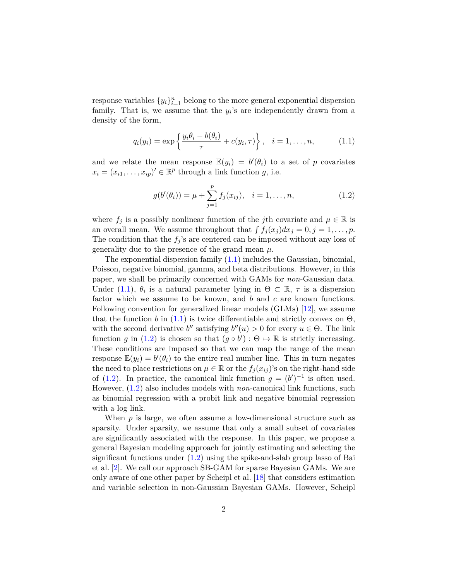response variables  $\{y_i\}_{i=1}^n$  belong to the more general exponential dispersion family. That is, we assume that the  $y_i$ 's are independently drawn from a density of the form,

<span id="page-1-0"></span>
$$
q_i(y_i) = \exp\left\{\frac{y_i \theta_i - b(\theta_i)}{\tau} + c(y_i, \tau)\right\}, \quad i = 1, \dots, n,
$$
 (1.1)

and we relate the mean response  $\mathbb{E}(y_i) = b'(\theta_i)$  to a set of *p* covariates  $x_i = (x_{i1}, \ldots, x_{ip})' \in \mathbb{R}^p$  through a link function *g*, i.e.

<span id="page-1-1"></span>
$$
g(b'(\theta_i)) = \mu + \sum_{j=1}^{p} f_j(x_{ij}), \quad i = 1, \dots, n,
$$
 (1.2)

where  $f_j$  is a possibly nonlinear function of the *j*th covariate and  $\mu \in \mathbb{R}$  is an overall mean. We assume throughout that  $\int f_j(x_j) dx_j = 0, j = 1, \ldots, p$ . The condition that the  $f_j$ 's are centered can be imposed without any loss of generality due to the presence of the grand mean *µ*.

The exponential dispersion family [\(1.1\)](#page-1-0) includes the Gaussian, binomial, Poisson, negative binomial, gamma, and beta distributions. However, in this paper, we shall be primarily concerned with GAMs for *non*-Gaussian data. Under [\(1.1\)](#page-1-0),  $\theta_i$  is a natural parameter lying in  $\Theta \subset \mathbb{R}$ ,  $\tau$  is a dispersion factor which we assume to be known, and *b* and *c* are known functions. Following convention for generalized linear models (GLMs) [\[12\]](#page-15-2), we assume that the function *b* in [\(1.1\)](#page-1-0) is twice differentiable and strictly convex on  $\Theta$ , with the second derivative *b*<sup>*n*</sup> satisfying  $b''(u) > 0$  for every  $u \in \Theta$ . The link function *g* in [\(1.2\)](#page-1-1) is chosen so that  $(g \circ b') : \Theta \mapsto \mathbb{R}$  is strictly increasing. These conditions are imposed so that we can map the range of the mean response  $\mathbb{E}(y_i) = b'(\theta_i)$  to the entire real number line. This in turn negates the need to place restrictions on  $\mu \in \mathbb{R}$  or the  $f_j(x_{ij})$ 's on the right-hand side of [\(1.2\)](#page-1-1). In practice, the canonical link function  $g = (b')^{-1}$  is often used. However, [\(1.2\)](#page-1-1) also includes models with *non*-canonical link functions, such as binomial regression with a probit link and negative binomial regression with a log link.

When *p* is large, we often assume a low-dimensional structure such as sparsity. Under sparsity, we assume that only a small subset of covariates are significantly associated with the response. In this paper, we propose a general Bayesian modeling approach for jointly estimating and selecting the significant functions under  $(1.2)$  using the spike-and-slab group lasso of Bai et al. [\[2\]](#page-14-0). We call our approach SB-GAM for sparse Bayesian GAMs. We are only aware of one other paper by Scheipl et al. [\[18\]](#page-16-2) that considers estimation and variable selection in non-Gaussian Bayesian GAMs. However, Scheipl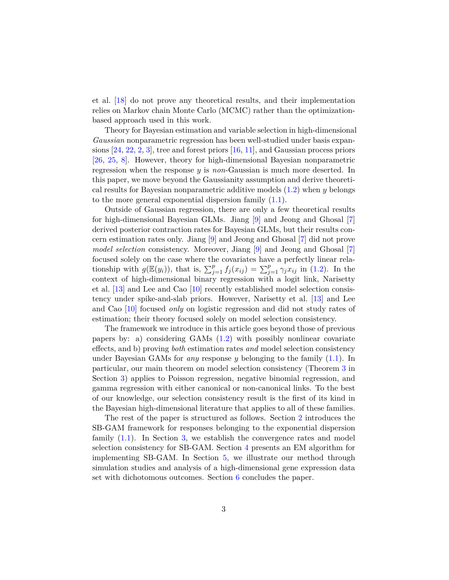et al. [\[18\]](#page-16-2) do not prove any theoretical results, and their implementation relies on Markov chain Monte Carlo (MCMC) rather than the optimizationbased approach used in this work.

Theory for Bayesian estimation and variable selection in high-dimensional *Gaussian* nonparametric regression has been well-studied under basis expansions  $[24, 22, 2, 3]$  $[24, 22, 2, 3]$  $[24, 22, 2, 3]$  $[24, 22, 2, 3]$  $[24, 22, 2, 3]$  $[24, 22, 2, 3]$  $[24, 22, 2, 3]$ , tree and forest priors  $[16, 11]$  $[16, 11]$  $[16, 11]$ , and Gaussian process priors [\[26,](#page-17-0) [25,](#page-16-4) [8\]](#page-15-4). However, theory for high-dimensional Bayesian nonparametric regression when the response *y* is *non*-Gaussian is much more deserted. In this paper, we move beyond the Gaussianity assumption and derive theoretical results for Bayesian nonparametric additive models [\(1.2\)](#page-1-1) when *y* belongs to the more general exponential dispersion family  $(1.1)$ .

Outside of Gaussian regression, there are only a few theoretical results for high-dimensional Bayesian GLMs. Jiang [\[9\]](#page-15-5) and Jeong and Ghosal [\[7\]](#page-15-6) derived posterior contraction rates for Bayesian GLMs, but their results concern estimation rates only. Jiang [\[9\]](#page-15-5) and Jeong and Ghosal [\[7\]](#page-15-6) did not prove *model selection* consistency. Moreover, Jiang [\[9\]](#page-15-5) and Jeong and Ghosal [\[7\]](#page-15-6) focused solely on the case where the covariates have a perfectly linear relationship with  $g(\mathbb{E}(y_i))$ , that is,  $\sum_{j=1}^p f_j(x_{ij}) = \sum_{j=1}^p \gamma_j x_{ij}$  in [\(1.2\)](#page-1-1). In the context of high-dimensional binary regression with a logit link, Narisetty et al. [\[13\]](#page-15-7) and Lee and Cao [\[10\]](#page-15-8) recently established model selection consistency under spike-and-slab priors. However, Narisetty et al. [\[13\]](#page-15-7) and Lee and Cao [\[10\]](#page-15-8) focused *only* on logistic regression and did not study rates of estimation; their theory focused solely on model selection consistency.

The framework we introduce in this article goes beyond those of previous papers by: a) considering GAMs [\(1.2\)](#page-1-1) with possibly nonlinear covariate effects, and b) proving *both* estimation rates *and* model selection consistency under Bayesian GAMs for *any* response *y* belonging to the family [\(1.1\)](#page-1-0). In particular, our main theorem on model selection consistency (Theorem [3](#page-8-0) in Section [3\)](#page-4-0) applies to Poisson regression, negative binomial regression, and gamma regression with either canonical or non-canonical links. To the best of our knowledge, our selection consistency result is the first of its kind in the Bayesian high-dimensional literature that applies to all of these families.

The rest of the paper is structured as follows. Section [2](#page-3-0) introduces the SB-GAM framework for responses belonging to the exponential dispersion family [\(1.1\)](#page-1-0). In Section [3,](#page-4-0) we establish the convergence rates and model selection consistency for SB-GAM. Section [4](#page-9-0) presents an EM algorithm for implementing SB-GAM. In Section [5,](#page-10-0) we illustrate our method through simulation studies and analysis of a high-dimensional gene expression data set with dichotomous outcomes. Section [6](#page-14-1) concludes the paper.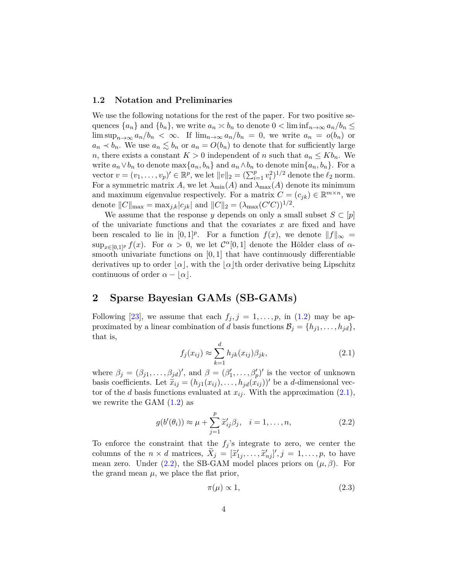#### **1.2 Notation and Preliminaries**

We use the following notations for the rest of the paper. For two positive sequences  $\{a_n\}$  and  $\{b_n\}$ , we write  $a_n \approx b_n$  to denote  $0 < \liminf_{n \to \infty} a_n/b_n \le$ lim  $\sup_{n\to\infty} a_n/b_n < \infty$ . If  $\lim_{n\to\infty} a_n/b_n = 0$ , we write  $a_n = o(b_n)$  or  $a_n \lt b_n$ . We use  $a_n \leq b_n$  or  $a_n = O(b_n)$  to denote that for sufficiently large *n*, there exists a constant  $K > 0$  independent of *n* such that  $a_n \leq K b_n$ . We write  $a_n \vee b_n$  to denote  $\max\{a_n, b_n\}$  and  $a_n \wedge b_n$  to denote  $\min\{a_n, b_n\}$ . For a vector  $v = (v_1, \ldots, v_p)' \in \mathbb{R}^p$ , we let  $||v||_2 = (\sum_{i=1}^p v_i^2)^{1/2}$  denote the  $\ell_2$  norm. For a symmetric matrix *A*, we let  $\lambda_{\min}(A)$  and  $\lambda_{\max}(A)$  denote its minimum and maximum eigenvalue respectively. For a matrix  $C = (c_{jk}) \in \mathbb{R}^{m \times n}$ , we denote  $||C||_{\max} = \max_{j,k}|c_{jk}|$  and  $||C||_2 = (\lambda_{\max}(C'C))^{1/2}$ .

We assume that the response *y* depends on only a small subset  $S \subset [p]$ of the univariate functions and that the covariates *x* are fixed and have been rescaled to lie in  $[0,1]^p$ . For a function  $f(x)$ , we denote  $||f||_{\infty} =$  $\sup_{x \in [0,1]^p} f(x)$ . For  $\alpha > 0$ , we let  $C^{\alpha}[0,1]$  denote the Hölder class of  $\alpha$ smooth univariate functions on [0*,* 1] that have continuously differentiable derivatives up to order  $|\alpha|$ , with the  $|\alpha|$ th order derivative being Lipschitz continuous of order  $\alpha - |\alpha|$ .

# <span id="page-3-0"></span>**2 Sparse Bayesian GAMs (SB-GAMs)**

Following [\[23\]](#page-16-5), we assume that each  $f_j$ ,  $j = 1, \ldots, p$ , in [\(1.2\)](#page-1-1) may be approximated by a linear combination of *d* basis functions  $\mathcal{B}_j = \{h_{j1}, \ldots, h_{jd}\},\$ that is,

<span id="page-3-1"></span>
$$
f_j(x_{ij}) \approx \sum_{k=1}^d h_{jk}(x_{ij}) \beta_{jk},
$$
\n(2.1)

where  $\beta_j = (\beta_{j1}, \ldots, \beta_{jd})'$ , and  $\beta = (\beta'_1, \ldots, \beta'_p)'$  is the vector of unknown basis coefficients. Let  $\tilde{x}_{ij} = (h_{j1}(x_{ij}), \ldots, h_{jd}(x_{ij}))'$  be a *d*-dimensional vector of the *d* basis functions evaluated at  $x_{ij}$ . With the approximation  $(2.1)$ , we rewrite the GAM  $(1.2)$  as

<span id="page-3-2"></span>
$$
g(b'(\theta_i)) \approx \mu + \sum_{j=1}^{p} \tilde{x}'_{ij} \beta_j, \quad i = 1, \dots, n,
$$
\n(2.2)

To enforce the constraint that the  $f_i$ 's integrate to zero, we center the columns of the  $n \times d$  matrices,  $\widetilde{X}_j = [\widetilde{x}'_{1j}, \ldots, \widetilde{x}'_{nj}]', j = 1, \ldots, p$ , to have mean zero. Under  $(2.2)$ , the SB-GAM model places priors on  $(\mu, \beta)$ . For the grand mean  $\mu$ , we place the flat prior,

<span id="page-3-3"></span>
$$
\pi(\mu) \propto 1,\tag{2.3}
$$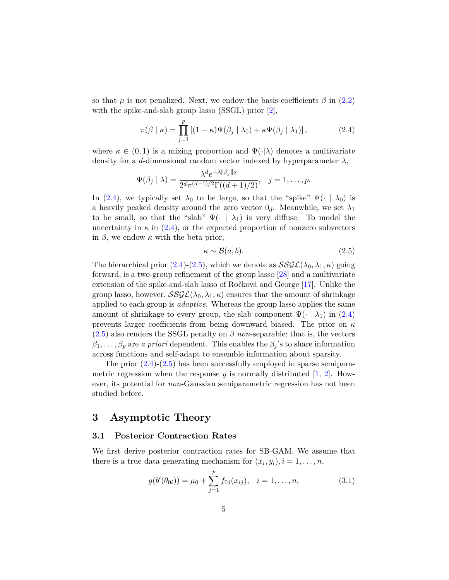so that  $\mu$  is not penalized. Next, we endow the basis coefficients  $\beta$  in [\(2.2\)](#page-3-2) with the spike-and-slab group lasso (SSGL) prior [\[2\]](#page-14-0),

<span id="page-4-1"></span>
$$
\pi(\beta \mid \kappa) = \prod_{j=1}^{p} \left[ (1 - \kappa) \Psi(\beta_j \mid \lambda_0) + \kappa \Psi(\beta_j \mid \lambda_1) \right],
$$
 (2.4)

where  $\kappa \in (0,1)$  is a mixing proportion and  $\Psi(\cdot|\lambda)$  denotes a multivariate density for a *d*-dimensional random vector indexed by hyperparameter  $\lambda$ ,

$$
\Psi(\beta_j | \lambda) = \frac{\lambda^d e^{-\lambda ||\beta_j||_2}}{2^d \pi^{(d-1)/2} \Gamma((d+1)/2)}, \quad j = 1, \dots, p.
$$

In [\(2.4\)](#page-4-1), we typically set  $\lambda_0$  to be large, so that the "spike"  $\Psi(\cdot \mid \lambda_0)$  is a heavily peaked density around the zero vector  $0_d$ . Meanwhile, we set  $\lambda_1$ to be small, so that the "slab"  $\Psi(\cdot \mid \lambda_1)$  is very diffuse. To model the uncertainty in  $\kappa$  in [\(2.4\)](#page-4-1), or the expected proportion of nonzero subvectors in  $\beta$ , we endow  $\kappa$  with the beta prior,

<span id="page-4-2"></span>
$$
\kappa \sim \mathcal{B}(a, b). \tag{2.5}
$$

The hierarchical prior  $(2.4)-(2.5)$  $(2.4)-(2.5)$  $(2.4)-(2.5)$ , which we denote as  $\mathcal{SSGL}(\lambda_0, \lambda_1, \kappa)$  going forward, is a two-group refinement of the group lasso [\[28\]](#page-17-1) and a multivariate extension of the spike-and-slab lasso of Ročková and George [\[17\]](#page-16-6). Unlike the group lasso, however,  $SSGL(\lambda_0, \lambda_1, \kappa)$  ensures that the amount of shrinkage applied to each group is *adaptive*. Whereas the group lasso applies the same amount of shrinkage to every group, the slab component  $\Psi(\cdot | \lambda_1)$  in [\(2.4\)](#page-4-1) prevents larger coefficients from being downward biased. The prior on *κ*  $(2.5)$  also renders the SSGL penalty on  $\beta$  *non*-separable; that is, the vectors  $\beta_1, \ldots, \beta_p$  are *a priori* dependent. This enables the  $\beta_j$ 's to share information across functions and self-adapt to ensemble information about sparsity.

The prior  $(2.4)-(2.5)$  $(2.4)-(2.5)$  $(2.4)-(2.5)$  has been successfully employed in sparse semiparametric regression when the response  $y$  is normally distributed  $[1, 2]$  $[1, 2]$  $[1, 2]$ . However, its potential for *non*-Gaussian semiparametric regression has not been studied before.

### <span id="page-4-0"></span>**3 Asymptotic Theory**

#### **3.1 Posterior Contraction Rates**

We first derive posterior contraction rates for SB-GAM. We assume that there is a true data generating mechanism for  $(x_i, y_i)$ ,  $i = 1, \ldots, n$ ,

<span id="page-4-3"></span>
$$
g(b'(\theta_{0i})) = \mu_0 + \sum_{j=1}^{p} f_{0j}(x_{ij}), \quad i = 1, ..., n,
$$
\n(3.1)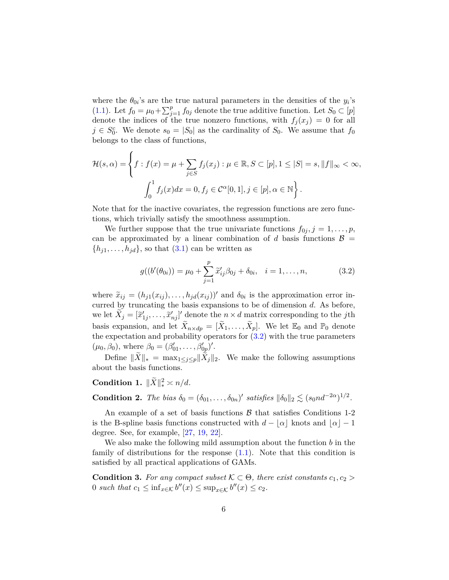where the  $\theta_{0i}$ 's are the true natural parameters in the densities of the  $y_i$ 's [\(1.1\)](#page-1-0). Let  $f_0 = \mu_0 + \sum_{j=1}^p f_{0j}$  denote the true additive function. Let  $S_0 \subset [p]$ denote the indices of the true nonzero functions, with  $f_i(x_i) = 0$  for all  $j \in S_0^c$ . We denote  $s_0 = |S_0|$  as the cardinality of  $S_0$ . We assume that  $f_0$ belongs to the class of functions,

$$
\mathcal{H}(s,\alpha) = \left\{ f : f(x) = \mu + \sum_{j \in S} f_j(x_j) : \mu \in \mathbb{R}, S \subset [p], 1 \le |S| = s, ||f||_{\infty} < \infty, \int_0^1 f_j(x) dx = 0, f_j \in \mathcal{C}^{\alpha}[0,1], j \in [p], \alpha \in \mathbb{N} \right\}.
$$

Note that for the inactive covariates, the regression functions are zero functions, which trivially satisfy the smoothness assumption.

We further suppose that the true univariate functions  $f_{0j}$ ,  $j = 1, \ldots, p$ , can be approximated by a linear combination of *d* basis functions  $\mathcal{B}$  =  $\{h_{j1}, \ldots, h_{jd}\}$ , so that  $(3.1)$  can be written as

<span id="page-5-0"></span>
$$
g((b'(\theta_{0i})) = \mu_0 + \sum_{j=1}^{p} \tilde{x}'_{ij} \beta_{0j} + \delta_{0i}, \quad i = 1, ..., n,
$$
 (3.2)

where  $\tilde{x}_{ij} = (h_{j1}(x_{ij}), \ldots, h_{jd}(x_{ij}))'$  and  $\delta_{0i}$  is the approximation error incurred by truncating the basis expansions to be of dimension *d*. As before, we let  $\widetilde{X}_j = [\widetilde{x}'_{1j}, \ldots, \widetilde{x}'_{nj}]'$  denote the  $n \times d$  matrix corresponding to the *j*th basis expansion, and let  $\tilde{X}_{n \times dp} = [\tilde{X}_1, \ldots, \tilde{X}_p]$ . We let  $\mathbb{E}_0$  and  $\mathbb{P}_0$  denote the expectation and probability operators for  $(3.2)$  with the true parameters  $(\mu_0, \beta_0)$ , where  $\beta_0 = (\beta'_{01}, \dots, \beta'_{0p})'$ .

Define  $||X||_* = \max_{1 \leq j \leq p} ||X_j||_2$ . We make the following assumptions about the basis functions.

**Condition 1.**  $\|\tilde{X}\|_*^2 \approx n/d$ *.* 

**Condition 2.** *The bias*  $\delta_0 = (\delta_{01}, \ldots, \delta_{0n})'$  *satisfies*  $\|\delta_0\|_2 \lesssim (s_0 n d^{-2\alpha})^{1/2}$ .

An example of a set of basis functions  $\beta$  that satisfies Conditions 1-2 is the B-spline basis functions constructed with  $d - |\alpha|$  knots and  $|\alpha| - 1$ degree. See, for example, [\[27,](#page-17-2) [19,](#page-16-7) [22\]](#page-16-1).

We also make the following mild assumption about the function *b* in the family of distributions for the response [\(1.1\)](#page-1-0). Note that this condition is satisfied by all practical applications of GAMs.

**Condition 3.** For any compact subset  $K \subset \Theta$ , there exist constants  $c_1, c_2 >$ 0 such that  $c_1 \leq \inf_{x \in \mathcal{K}} b''(x) \leq \sup_{x \in \mathcal{K}} b''(x) \leq c_2$ .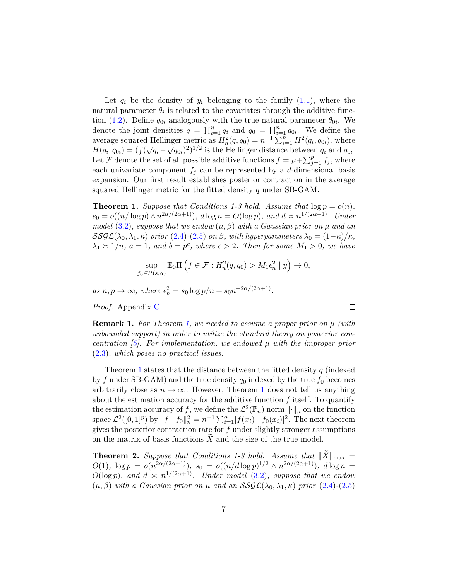Let  $q_i$  be the density of  $y_i$  belonging to the family  $(1.1)$ , where the natural parameter  $\theta_i$  is related to the covariates through the additive func-tion [\(1.2\)](#page-1-1). Define  $q_{0i}$  analogously with the true natural parameter  $\theta_{0i}$ . We denote the joint densities  $q = \prod_{i=1}^{n} q_i$  and  $q_0 = \prod_{i=1}^{n} q_{0i}$ . We define the average squared Hellinger metric as  $H_n^2(q, q_0) = n^{-1} \sum_{i=1}^n H^2(q_i, q_{0i})$ , where  $H(q_i, q_{0i}) = (\int (\sqrt{q_i} - \sqrt{q_{0i}})^2)^{1/2}$  is the Hellinger distance between  $q_i$  and  $q_{0i}$ . Let F denote the set of all possible additive functions  $f = \mu + \sum_{j=1}^p f_j$ , where each univariate component  $f_i$  can be represented by a *d*-dimensional basis expansion. Our first result establishes posterior contraction in the average squared Hellinger metric for the fitted density *q* under SB-GAM.

<span id="page-6-0"></span>**Theorem 1.** *Suppose that Conditions 1-3 hold. Assume that*  $\log p = o(n)$ *,*  $s_0 = o((n/\log p) \wedge n^{2\alpha/(2\alpha+1)}), d \log n = O(\log p), \text{ and } d \asymp n^{1/(2\alpha+1)}.$  Under *model* [\(3.2\)](#page-5-0)*, suppose that we endow*  $(\mu, \beta)$  *with a Gaussian prior on*  $\mu$  *and an* SSGL( $\lambda_0, \lambda_1, \kappa$ ) prior [\(2.4\)](#page-4-1)-[\(2.5\)](#page-4-2) on  $\beta$ , with hyperparameters  $\lambda_0 = (1-\kappa)/\kappa$ ,  $\lambda_1 \geq 1/n$ ,  $a = 1$ , and  $b = p^c$ , where  $c > 2$ . Then for some  $M_1 > 0$ , we have

$$
\sup_{f_0 \in \mathcal{H}(s,\alpha)} \mathbb{E}_0 \Pi \left( f \in \mathcal{F} : H_n^2(q, q_0) > M_1 \epsilon_n^2 \mid y \right) \to 0,
$$

 $as n, p \to \infty$ , where  $\epsilon_n^2 = s_0 \log p/n + s_0 n^{-2\alpha/(2\alpha+1)}$ .

*Proof.* Appendix [C.](#page-21-0)

**Remark 1.** *For Theorem [1,](#page-6-0) we needed to assume a proper prior on µ (with unbounded support) in order to utilize the standard theory on posterior concentration [\[5\]](#page-15-9). For implementation, we endowed µ with the improper prior* [\(2.3\)](#page-3-3)*, which poses no practical issues.*

 $\Box$ 

Theorem [1](#page-6-0) states that the distance between the fitted density *q* (indexed by f under SB-GAM) and the true density  $q_0$  indexed by the true  $f_0$  becomes arbitrarily close as  $n \to \infty$ . However, Theorem [1](#page-6-0) does not tell us anything about the estimation accuracy for the additive function *f* itself. To quantify the estimation accuracy of f, we define the  $\mathcal{L}^2(\mathbb{P}_n)$  norm  $\lVert \cdot \rVert_n$  on the function space  $\mathcal{L}^2([0,1]^p)$  by  $||f - f_0||_n^2 = n^{-1} \sum_{i=1}^n [f(x_i) - f_0(x_i)]^2$ . The next theorem gives the posterior contraction rate for *f* under slightly stronger assumptions on the matrix of basis functions X and the size of the true model.

<span id="page-6-1"></span>**Theorem 2.** Suppose that Conditions 1-3 hold. Assume that  $||X||_{\text{max}} =$ *O*(1)*,*  $\log p = o(n^{2\alpha/(2\alpha+1)})$ *,*  $s_0 = o((n/d\log p)^{1/2} \wedge n^{2\alpha/(2\alpha+1)})$ *,*  $d\log n =$  $O(\log p)$ *, and*  $d \leq n^{1/(2\alpha+1)}$ *. Under model* [\(3.2\)](#page-5-0)*, suppose that we endow* (*µ, β*) *with a Gaussian prior on µ and an* SSGL(*λ*0*, λ*1*, κ*) *prior* [\(2.4\)](#page-4-1)*-*[\(2.5\)](#page-4-2)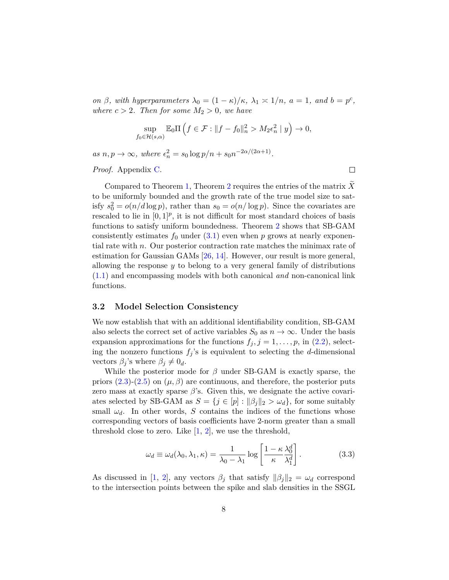*on*  $\beta$ *, with hyperparameters*  $\lambda_0 = (1 - \kappa)/\kappa$ ,  $\lambda_1 \approx 1/n$ ,  $a = 1$ *, and*  $b = p^c$ *, where*  $c > 2$ *. Then for some*  $M_2 > 0$ *, we have* 

$$
\sup_{f_0 \in \mathcal{H}(s,\alpha)} \mathbb{E}_0 \Pi \left( f \in \mathcal{F} : \|f - f_0\|_n^2 > M_2 \epsilon_n^2 \mid y \right) \to 0,
$$

 $as n, p \to \infty$ , where  $\epsilon_n^2 = s_0 \log p/n + s_0 n^{-2\alpha/(2\alpha+1)}$ .

*Proof.* Appendix [C.](#page-21-0)

 $\Box$ 

Compared to Theorem [1,](#page-6-0) Theorem [2](#page-6-1) requires the entries of the matrix X to be uniformly bounded and the growth rate of the true model size to satisfy  $s_0^2 = o(n/d \log p)$ , rather than  $s_0 = o(n/\log p)$ . Since the covariates are rescaled to lie in  $[0,1]^p$ , it is not difficult for most standard choices of basis functions to satisfy uniform boundedness. Theorem [2](#page-6-1) shows that SB-GAM consistently estimates  $f_0$  under  $(3.1)$  even when  $p$  grows at nearly exponential rate with *n*. Our posterior contraction rate matches the minimax rate of estimation for Gaussian GAMs [\[26,](#page-17-0) [14\]](#page-15-10). However, our result is more general, allowing the response *y* to belong to a very general family of distributions [\(1.1\)](#page-1-0) and encompassing models with both canonical *and* non-canonical link functions.

#### **3.2 Model Selection Consistency**

We now establish that with an additional identifiability condition, SB-GAM also selects the correct set of active variables  $S_0$  as  $n \to \infty$ . Under the basis expansion approximations for the functions  $f_j$ ,  $j = 1, \ldots, p$ , in  $(2.2)$ , selecting the nonzero functions  $f_j$ 's is equivalent to selecting the *d*-dimensional vectors  $\beta_j$ 's where  $\beta_j \neq 0_d$ .

While the posterior mode for *β* under SB-GAM is exactly sparse, the priors [\(2.3\)](#page-3-3)-[\(2.5\)](#page-4-2) on  $(\mu, \beta)$  are continuous, and therefore, the posterior puts zero mass at exactly sparse *β*'s. Given this, we designate the active covariates selected by SB-GAM as  $S = \{j \in [p] : ||\beta_j||_2 > \omega_d\}$ , for some suitably small  $\omega_d$ . In other words, *S* contains the indices of the functions whose corresponding vectors of basis coefficients have 2-norm greater than a small threshold close to zero. Like  $[1, 2]$  $[1, 2]$  $[1, 2]$ , we use the threshold,

<span id="page-7-0"></span>
$$
\omega_d \equiv \omega_d(\lambda_0, \lambda_1, \kappa) = \frac{1}{\lambda_0 - \lambda_1} \log \left[ \frac{1 - \kappa}{\kappa} \frac{\lambda_0^d}{\lambda_1^d} \right].
$$
 (3.3)

As discussed in [\[1,](#page-14-2) [2\]](#page-14-0), any vectors  $\beta_j$  that satisfy  $\|\beta_j\|_2 = \omega_d$  correspond to the intersection points between the spike and slab densities in the SSGL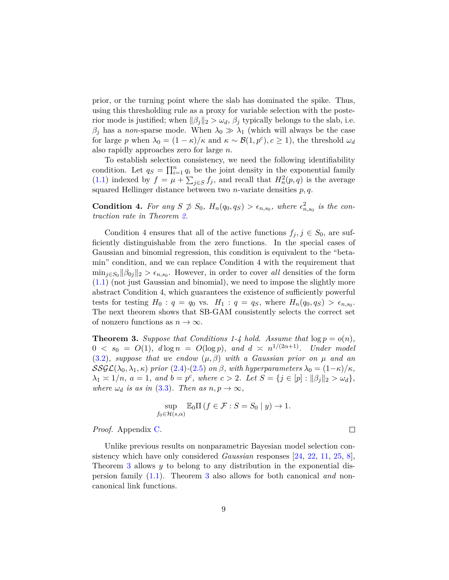prior, or the turning point where the slab has dominated the spike. Thus, using this thresholding rule as a proxy for variable selection with the posterior mode is justified; when  $\|\beta_j\|_2 > \omega_d$ ,  $\beta_j$  typically belongs to the slab, i.e.  $β$ <sup>*j*</sup> has a *non*-sparse mode. When  $λ$ <sup>0</sup>  $\gg λ$ <sub>1</sub> (which will always be the case for large *p* when  $\lambda_0 = (1 - \kappa)/\kappa$  and  $\kappa \sim \mathcal{B}(1, p^c), c \ge 1$ , the threshold  $\omega_d$ also rapidly approaches zero for large *n*.

To establish selection consistency, we need the following identifiability condition. Let  $q_S = \prod_{i=1}^n q_i$  be the joint density in the exponential family [\(1.1\)](#page-1-0) indexed by  $f = \mu + \sum_{j \in S} f_j$ , and recall that  $H_n^2(p, q)$  is the average squared Hellinger distance between two *n*-variate densities *p, q*.

**Condition 4.** For any  $S \not\supseteq S_0$ ,  $H_n(q_0, q_S) > \epsilon_{n,s_0}$ , where  $\epsilon_{n,s_0}^2$  is the con*traction rate in Theorem [2.](#page-6-1)*

Condition 4 ensures that all of the active functions  $f_j, j \in S_0$ , are sufficiently distinguishable from the zero functions. In the special cases of Gaussian and binomial regression, this condition is equivalent to the "betamin" condition, and we can replace Condition 4 with the requirement that  $\min_{j \in S_0} ||\beta_{0j}||_2 > \epsilon_{n,s_0}$ . However, in order to cover *all* densities of the form [\(1.1\)](#page-1-0) (not just Gaussian and binomial), we need to impose the slightly more abstract Condition 4, which guarantees the existence of sufficiently powerful tests for testing  $H_0: q = q_0$  vs.  $H_1: q = q_S$ , where  $H_n(q_0, q_S) > \epsilon_{n,s_0}$ . The next theorem shows that SB-GAM consistently selects the correct set of nonzero functions as  $n \to \infty$ .

<span id="page-8-0"></span>**Theorem 3.** Suppose that Conditions 1-4 hold. Assume that  $\log p = o(n)$ ,  $0 < s_0 = O(1)$ ,  $d \log n = O(\log p)$ , and  $d \asymp n^{1/(2\alpha+1)}$ . Under model [\(3.2\)](#page-5-0)*, suppose that we endow* (*µ, β*) *with a Gaussian prior on µ and an* SSGL( $\lambda_0, \lambda_1, \kappa$ ) prior [\(2.4\)](#page-4-1)-[\(2.5\)](#page-4-2) on  $\beta$ , with hyperparameters  $\lambda_0 = (1 - \kappa)/\kappa$ ,  $\lambda_1 \geq 1/n, \ a = 1, \ and \ b = p^c, \ where \ c > 2. \ Let \ S = \{j \in [p] : ||\beta_j||_2 > \omega_d\},\$ *where*  $\omega_d$  *is as in* [\(3.3\)](#page-7-0)*. Then as*  $n, p \to \infty$ *,* 

$$
\sup_{f_0 \in \mathcal{H}(s,\alpha)} \mathbb{E}_0 \Pi \left( f \in \mathcal{F} : S = S_0 \mid y \right) \to 1.
$$

 $\Box$ 

*Proof.* Appendix [C.](#page-21-0)

Unlike previous results on nonparametric Bayesian model selection consistency which have only considered *Gaussian* responses [\[24,](#page-16-0) [22,](#page-16-1) [11,](#page-15-3) [25,](#page-16-4) [8\]](#page-15-4), Theorem [3](#page-8-0) allows *y* to belong to any distribution in the exponential dispersion family [\(1.1\)](#page-1-0). Theorem [3](#page-8-0) also allows for both canonical *and* noncanonical link functions.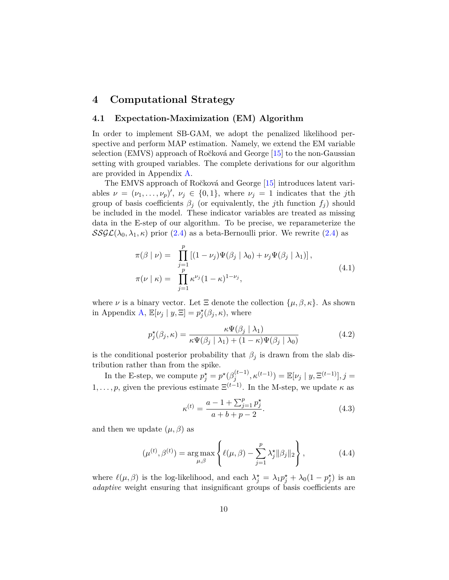# <span id="page-9-0"></span>**4 Computational Strategy**

#### **4.1 Expectation-Maximization (EM) Algorithm**

In order to implement SB-GAM, we adopt the penalized likelihood perspective and perform MAP estimation. Namely, we extend the EM variable selection (EMVS) approach of Ročková and George [\[15\]](#page-16-8) to the non-Gaussian setting with grouped variables. The complete derivations for our algorithm are provided in Appendix [A.](#page-17-3)

The EMVS approach of Ročková and George [\[15\]](#page-16-8) introduces latent variables  $\nu = (\nu_1, \ldots, \nu_p)'$ ,  $\nu_j \in \{0, 1\}$ , where  $\nu_j = 1$  indicates that the *j*th group of basis coefficients  $\beta_j$  (or equivalently, the *j*th function  $f_j$ ) should be included in the model. These indicator variables are treated as missing data in the E-step of our algorithm. To be precise, we reparameterize the  $SSGL(\lambda_0, \lambda_1, \kappa)$  prior [\(2.4\)](#page-4-1) as a beta-Bernoulli prior. We rewrite (2.4) as

<span id="page-9-2"></span>
$$
\pi(\beta \mid \nu) = \prod_{\substack{j=1 \ p}}^p \left[ (1 - \nu_j) \Psi(\beta_j \mid \lambda_0) + \nu_j \Psi(\beta_j \mid \lambda_1) \right],
$$
  
\n
$$
\pi(\nu \mid \kappa) = \prod_{j=1}^p \kappa^{\nu_j} (1 - \kappa)^{1 - \nu_j},
$$
\n(4.1)

where  $\nu$  is a binary vector. Let  $\Xi$  denote the collection  $\{\mu, \beta, \kappa\}$ . As shown in Appendix [A,](#page-17-3)  $\mathbb{E}[\nu_j | y, \Xi] = p_j^{\star}(\beta_j, \kappa)$ , where

<span id="page-9-3"></span>
$$
p_j^{\star}(\beta_j, \kappa) = \frac{\kappa \Psi(\beta_j \mid \lambda_1)}{\kappa \Psi(\beta_j \mid \lambda_1) + (1 - \kappa) \Psi(\beta_j \mid \lambda_0)}
$$
(4.2)

is the conditional posterior probability that  $\beta_j$  is drawn from the slab distribution rather than from the spike.

In the E-step, we compute  $p_j^* = p^* (\beta_j^{(t-1)})$  $\mathbb{E}[\nu_j | y, \Xi^{(t-1)}], j = \mathbb{E}[\nu_j | y, \Xi^{(t-1)}], j =$ 1, ..., *p*, given the previous estimate  $E^{(t-1)}$ . In the M-step, we update  $\kappa$  as

<span id="page-9-4"></span>
$$
\kappa^{(t)} = \frac{a - 1 + \sum_{j=1}^{p} p_j^{\star}}{a + b + p - 2}.
$$
\n(4.3)

and then we update  $(\mu, \beta)$  as

<span id="page-9-1"></span>
$$
(\mu^{(t)}, \beta^{(t)}) = \underset{\mu, \beta}{\arg \max} \left\{ \ell(\mu, \beta) - \sum_{j=1}^{p} \lambda_j^* ||\beta_j||_2 \right\},\tag{4.4}
$$

where  $\ell(\mu, \beta)$  is the log-likelihood, and each  $\lambda_j^* = \lambda_1 p_j^* + \lambda_0 (1 - p_j^*)$  is an *adaptive* weight ensuring that insignificant groups of basis coefficients are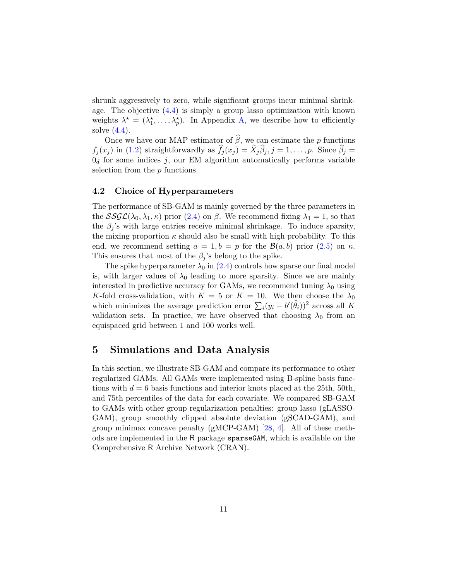shrunk aggressively to zero, while significant groups incur minimal shrinkage. The objective [\(4.4\)](#page-9-1) is simply a group lasso optimization with known weights  $\lambda^* = (\lambda_1^*, \ldots, \lambda_p^*)$ . In Appendix [A,](#page-17-3) we describe how to efficiently solve  $(4.4)$ .

Once we have our MAP estimator of  $\widehat{\beta}$ , we can estimate the *p* functions  $f_j(x_j)$  in [\(1.2\)](#page-1-1) straightforwardly as  $f_j(x_j) = X_j \beta_j$ ,  $j = 1, \ldots, p$ . Since  $\beta_j =$  $0_d$  for some indices  $j$ , our EM algorithm automatically performs variable selection from the *p* functions.

#### **4.2 Choice of Hyperparameters**

The performance of SB-GAM is mainly governed by the three parameters in the  $SSGL(\lambda_0, \lambda_1, \kappa)$  prior [\(2.4\)](#page-4-1) on  $\beta$ . We recommend fixing  $\lambda_1 = 1$ , so that the  $\beta_j$ 's with large entries receive minimal shrinkage. To induce sparsity, the mixing proportion  $\kappa$  should also be small with high probability. To this end, we recommend setting  $a = 1, b = p$  for the  $\mathcal{B}(a, b)$  prior [\(2.5\)](#page-4-2) on  $\kappa$ . This ensures that most of the  $\beta_j$ 's belong to the spike.

The spike hyperparameter  $\lambda_0$  in [\(2.4\)](#page-4-1) controls how sparse our final model is, with larger values of  $\lambda_0$  leading to more sparsity. Since we are mainly interested in predictive accuracy for GAMs, we recommend tuning  $\lambda_0$  using *K*-fold cross-validation, with  $K = 5$  or  $K = 10$ . We then choose the  $\lambda_0$ which minimizes the average prediction error  $\sum_i (y_i - b'(\hat{\theta}_i))^2$  across all K validation sets. In practice, we have observed that choosing  $\lambda_0$  from an equispaced grid between 1 and 100 works well.

### <span id="page-10-0"></span>**5 Simulations and Data Analysis**

In this section, we illustrate SB-GAM and compare its performance to other regularized GAMs. All GAMs were implemented using B-spline basis functions with *d* = 6 basis functions and interior knots placed at the 25th, 50th, and 75th percentiles of the data for each covariate. We compared SB-GAM to GAMs with other group regularization penalties: group lasso (gLASSO-GAM), group smoothly clipped absolute deviation (gSCAD-GAM), and group minimax concave penalty (gMCP-GAM) [\[28,](#page-17-1) [4\]](#page-15-11). All of these methods are implemented in the R package sparseGAM, which is available on the Comprehensive R Archive Network (CRAN).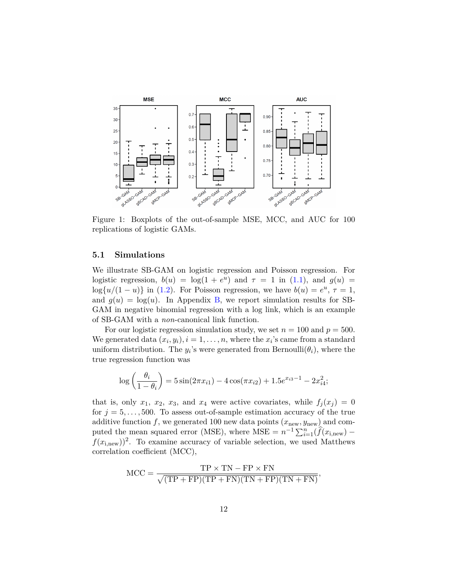<span id="page-11-0"></span>

Figure 1: Boxplots of the out-of-sample MSE, MCC, and AUC for 100 replications of logistic GAMs.

#### **5.1 Simulations**

We illustrate SB-GAM on logistic regression and Poisson regression. For logistic regression,  $b(u) = \log(1 + e^u)$  and  $\tau = 1$  in [\(1.1\)](#page-1-0), and  $g(u) =$ log $\{u/(1-u)\}\$ in [\(1.2\)](#page-1-1). For Poisson regression, we have  $b(u) = e^u$ ,  $\tau = 1$ , and  $g(u) = \log(u)$ . In Appendix [B,](#page-19-0) we report simulation results for SB-GAM in negative binomial regression with a log link, which is an example of SB-GAM with a *non*-canonical link function.

For our logistic regression simulation study, we set  $n = 100$  and  $p = 500$ . We generated data  $(x_i, y_i)$ ,  $i = 1, \ldots, n$ , where the  $x_i$ 's came from a standard uniform distribution. The  $y_i$ 's were generated from Bernoulli $(\theta_i)$ , where the true regression function was

$$
\log\left(\frac{\theta_i}{1-\theta_i}\right) = 5\sin(2\pi x_{i1}) - 4\cos(\pi x_{i2}) + 1.5e^{x_{i3}-1} - 2x_{i4}^2;
$$

that is, only  $x_1$ ,  $x_2$ ,  $x_3$ , and  $x_4$  were active covariates, while  $f_i(x_i) = 0$ for  $j = 5, \ldots, 500$ . To assess out-of-sample estimation accuracy of the true additive function  $f$ , we generated 100 new data points  $(x_{\text{new}}, y_{\text{new}})$  and computed the mean squared error (MSE), where MSE =  $n^{-1} \sum_{i=1}^{n} (\hat{f}(x_{i,\text{new}})$  $f(x_{\text{i,new}})^2$ . To examine accuracy of variable selection, we used Matthews correlation coefficient (MCC),

$$
MCC = \frac{TP \times TN - FP \times FN}{\sqrt{(TP + FP)(TP + FN)(TN + FP)(TN + FN)}},
$$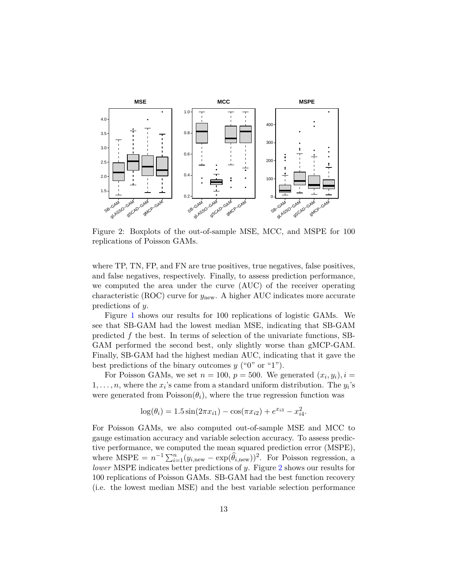<span id="page-12-0"></span>

Figure 2: Boxplots of the out-of-sample MSE, MCC, and MSPE for 100 replications of Poisson GAMs.

where TP, TN, FP, and FN are true positives, true negatives, false positives, and false negatives, respectively. Finally, to assess prediction performance, we computed the area under the curve (AUC) of the receiver operating characteristic (ROC) curve for *y*new. A higher AUC indicates more accurate predictions of *y*.

Figure [1](#page-11-0) shows our results for 100 replications of logistic GAMs. We see that SB-GAM had the lowest median MSE, indicating that SB-GAM predicted *f* the best. In terms of selection of the univariate functions, SB-GAM performed the second best, only slightly worse than gMCP-GAM. Finally, SB-GAM had the highest median AUC, indicating that it gave the best predictions of the binary outcomes *y* ("0" or "1").

For Poisson GAMs, we set  $n = 100$ ,  $p = 500$ . We generated  $(x_i, y_i)$ ,  $i =$  $1, \ldots, n$ , where the  $x_i$ 's came from a standard uniform distribution. The  $y_i$ 's were generated from  $Poisson(\theta_i)$ , where the true regression function was

$$
\log(\theta_i) = 1.5 \sin(2\pi x_{i1}) - \cos(\pi x_{i2}) + e^{x_{i3}} - x_{i4}^2.
$$

For Poisson GAMs, we also computed out-of-sample MSE and MCC to gauge estimation accuracy and variable selection accuracy. To assess predictive performance, we computed the mean squared prediction error (MSPE), where  $MSE = n^{-1} \sum_{i=1}^{n} (y_{i, new} - \exp(\hat{\theta}_{i, new}))^2$ . For Poisson regression, a *lower* MSPE indicates better predictions of *y*. Figure [2](#page-12-0) shows our results for 100 replications of Poisson GAMs. SB-GAM had the best function recovery (i.e. the lowest median MSE) and the best variable selection performance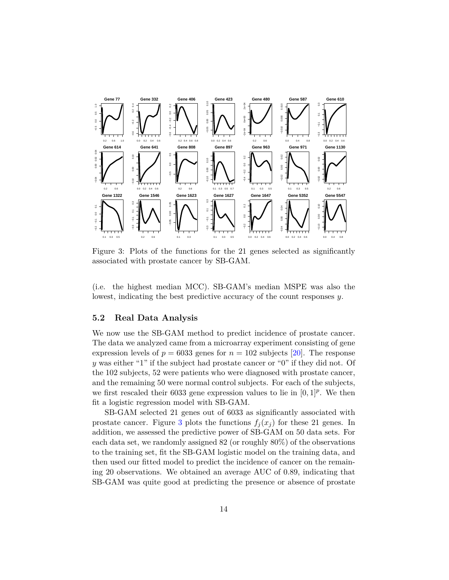<span id="page-13-0"></span>

Figure 3: Plots of the functions for the 21 genes selected as significantly associated with prostate cancer by SB-GAM.

(i.e. the highest median MCC). SB-GAM's median MSPE was also the lowest, indicating the best predictive accuracy of the count responses *y*.

### **5.2 Real Data Analysis**

We now use the SB-GAM method to predict incidence of prostate cancer. The data we analyzed came from a microarray experiment consisting of gene expression levels of  $p = 6033$  genes for  $n = 102$  subjects [\[20\]](#page-16-9). The response *y* was either "1" if the subject had prostate cancer or "0" if they did not. Of the 102 subjects, 52 were patients who were diagnosed with prostate cancer, and the remaining 50 were normal control subjects. For each of the subjects, we first rescaled their 6033 gene expression values to lie in  $[0,1]^p$ . We then fit a logistic regression model with SB-GAM.

SB-GAM selected 21 genes out of 6033 as significantly associated with prostate cancer. Figure [3](#page-13-0) plots the functions  $f_i(x_i)$  for these 21 genes. In addition, we assessed the predictive power of SB-GAM on 50 data sets. For each data set, we randomly assigned 82 (or roughly 80%) of the observations to the training set, fit the SB-GAM logistic model on the training data, and then used our fitted model to predict the incidence of cancer on the remaining 20 observations. We obtained an average AUC of 0.89, indicating that SB-GAM was quite good at predicting the presence or absence of prostate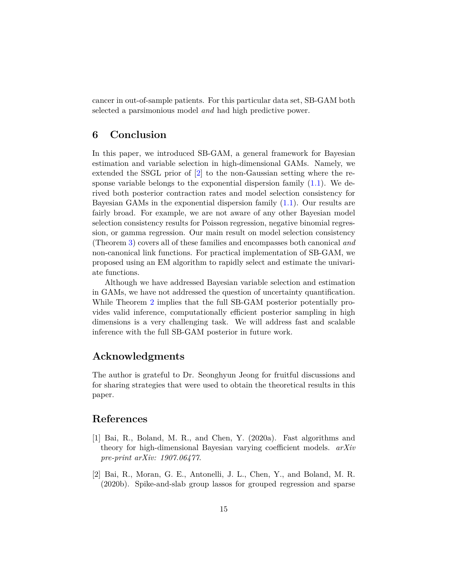cancer in out-of-sample patients. For this particular data set, SB-GAM both selected a parsimonious model *and* had high predictive power.

### <span id="page-14-1"></span>**6 Conclusion**

In this paper, we introduced SB-GAM, a general framework for Bayesian estimation and variable selection in high-dimensional GAMs. Namely, we extended the SSGL prior of [\[2\]](#page-14-0) to the non-Gaussian setting where the response variable belongs to the exponential dispersion family  $(1.1)$ . We derived both posterior contraction rates and model selection consistency for Bayesian GAMs in the exponential dispersion family  $(1.1)$ . Our results are fairly broad. For example, we are not aware of any other Bayesian model selection consistency results for Poisson regression, negative binomial regression, or gamma regression. Our main result on model selection consistency (Theorem [3\)](#page-8-0) covers all of these families and encompasses both canonical *and* non-canonical link functions. For practical implementation of SB-GAM, we proposed using an EM algorithm to rapidly select and estimate the univariate functions.

Although we have addressed Bayesian variable selection and estimation in GAMs, we have not addressed the question of uncertainty quantification. While Theorem [2](#page-6-1) implies that the full SB-GAM posterior potentially provides valid inference, computationally efficient posterior sampling in high dimensions is a very challenging task. We will address fast and scalable inference with the full SB-GAM posterior in future work.

# **Acknowledgments**

The author is grateful to Dr. Seonghyun Jeong for fruitful discussions and for sharing strategies that were used to obtain the theoretical results in this paper.

# **References**

- <span id="page-14-2"></span>[1] Bai, R., Boland, M. R., and Chen, Y. (2020a). Fast algorithms and theory for high-dimensional Bayesian varying coefficient models. *arXiv pre-print arXiv: 1907.06477*.
- <span id="page-14-0"></span>[2] Bai, R., Moran, G. E., Antonelli, J. L., Chen, Y., and Boland, M. R. (2020b). Spike-and-slab group lassos for grouped regression and sparse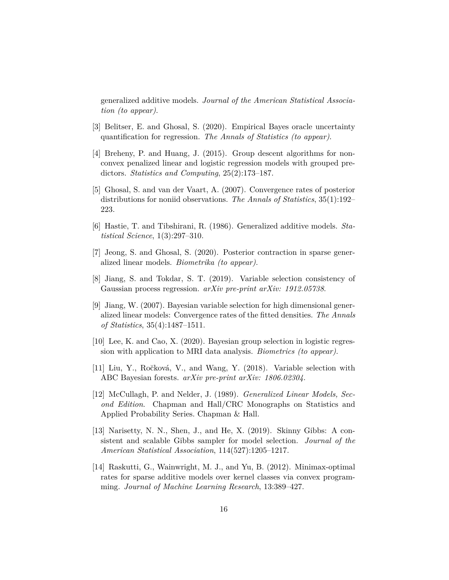generalized additive models. *Journal of the American Statistical Association (to appear)*.

- <span id="page-15-1"></span>[3] Belitser, E. and Ghosal, S. (2020). Empirical Bayes oracle uncertainty quantification for regression. *The Annals of Statistics (to appear)*.
- <span id="page-15-11"></span>[4] Breheny, P. and Huang, J. (2015). Group descent algorithms for nonconvex penalized linear and logistic regression models with grouped predictors. *Statistics and Computing*, 25(2):173–187.
- <span id="page-15-9"></span>[5] Ghosal, S. and van der Vaart, A. (2007). Convergence rates of posterior distributions for noniid observations. *The Annals of Statistics*, 35(1):192– 223.
- <span id="page-15-0"></span>[6] Hastie, T. and Tibshirani, R. (1986). Generalized additive models. *Statistical Science*, 1(3):297–310.
- <span id="page-15-6"></span>[7] Jeong, S. and Ghosal, S. (2020). Posterior contraction in sparse generalized linear models. *Biometrika (to appear)*.
- <span id="page-15-4"></span>[8] Jiang, S. and Tokdar, S. T. (2019). Variable selection consistency of Gaussian process regression. *arXiv pre-print arXiv: 1912.05738*.
- <span id="page-15-5"></span>[9] Jiang, W. (2007). Bayesian variable selection for high dimensional generalized linear models: Convergence rates of the fitted densities. *The Annals of Statistics*, 35(4):1487–1511.
- <span id="page-15-8"></span>[10] Lee, K. and Cao, X. (2020). Bayesian group selection in logistic regression with application to MRI data analysis. *Biometrics (to appear)*.
- <span id="page-15-3"></span>[11] Liu, Y., Ro˘cková, V., and Wang, Y. (2018). Variable selection with ABC Bayesian forests. *arXiv pre-print arXiv: 1806.02304*.
- <span id="page-15-2"></span>[12] McCullagh, P. and Nelder, J. (1989). *Generalized Linear Models, Second Edition*. Chapman and Hall/CRC Monographs on Statistics and Applied Probability Series. Chapman & Hall.
- <span id="page-15-7"></span>[13] Narisetty, N. N., Shen, J., and He, X. (2019). Skinny Gibbs: A consistent and scalable Gibbs sampler for model selection. *Journal of the American Statistical Association*, 114(527):1205–1217.
- <span id="page-15-10"></span>[14] Raskutti, G., Wainwright, M. J., and Yu, B. (2012). Minimax-optimal rates for sparse additive models over kernel classes via convex programming. *Journal of Machine Learning Research*, 13:389–427.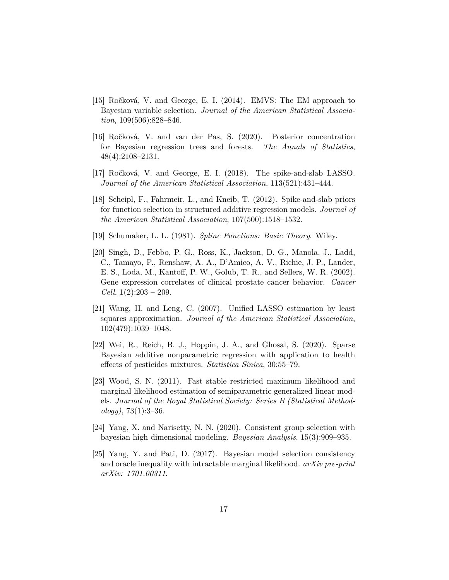- <span id="page-16-8"></span>[15] Ročková, V. and George, E. I. (2014). EMVS: The EM approach to Bayesian variable selection. *Journal of the American Statistical Association*, 109(506):828–846.
- <span id="page-16-3"></span>[16] Ro˘cková, V. and van der Pas, S. (2020). Posterior concentration for Bayesian regression trees and forests. *The Annals of Statistics*, 48(4):2108–2131.
- <span id="page-16-6"></span>[17] Ročková, V. and George, E. I. (2018). The spike-and-slab LASSO. *Journal of the American Statistical Association*, 113(521):431–444.
- <span id="page-16-2"></span>[18] Scheipl, F., Fahrmeir, L., and Kneib, T. (2012). Spike-and-slab priors for function selection in structured additive regression models. *Journal of the American Statistical Association*, 107(500):1518–1532.
- <span id="page-16-7"></span>[19] Schumaker, L. L. (1981). *Spline Functions: Basic Theory*. Wiley.
- <span id="page-16-9"></span>[20] Singh, D., Febbo, P. G., Ross, K., Jackson, D. G., Manola, J., Ladd, C., Tamayo, P., Renshaw, A. A., D'Amico, A. V., Richie, J. P., Lander, E. S., Loda, M., Kantoff, P. W., Golub, T. R., and Sellers, W. R. (2002). Gene expression correlates of clinical prostate cancer behavior. *Cancer Cell*, 1(2):203 – 209.
- <span id="page-16-10"></span>[21] Wang, H. and Leng, C. (2007). Unified LASSO estimation by least squares approximation. *Journal of the American Statistical Association*, 102(479):1039–1048.
- <span id="page-16-1"></span>[22] Wei, R., Reich, B. J., Hoppin, J. A., and Ghosal, S. (2020). Sparse Bayesian additive nonparametric regression with application to health effects of pesticides mixtures. *Statistica Sinica*, 30:55–79.
- <span id="page-16-5"></span>[23] Wood, S. N. (2011). Fast stable restricted maximum likelihood and marginal likelihood estimation of semiparametric generalized linear models. *Journal of the Royal Statistical Society: Series B (Statistical Methodology)*, 73(1):3–36.
- <span id="page-16-0"></span>[24] Yang, X. and Narisetty, N. N. (2020). Consistent group selection with bayesian high dimensional modeling. *Bayesian Analysis*, 15(3):909–935.
- <span id="page-16-4"></span>[25] Yang, Y. and Pati, D. (2017). Bayesian model selection consistency and oracle inequality with intractable marginal likelihood. *arXiv pre-print arXiv: 1701.00311*.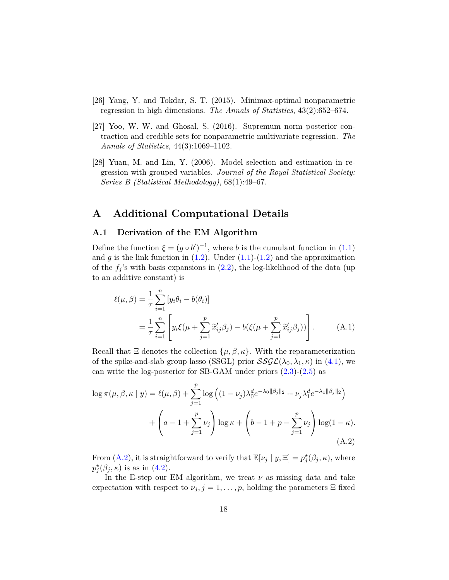- <span id="page-17-0"></span>[26] Yang, Y. and Tokdar, S. T. (2015). Minimax-optimal nonparametric regression in high dimensions. *The Annals of Statistics*, 43(2):652–674.
- <span id="page-17-2"></span>[27] Yoo, W. W. and Ghosal, S. (2016). Supremum norm posterior contraction and credible sets for nonparametric multivariate regression. *The Annals of Statistics*, 44(3):1069–1102.
- <span id="page-17-1"></span>[28] Yuan, M. and Lin, Y. (2006). Model selection and estimation in regression with grouped variables. *Journal of the Royal Statistical Society: Series B (Statistical Methodology)*, 68(1):49–67.

### <span id="page-17-3"></span>**A Additional Computational Details**

#### **A.1 Derivation of the EM Algorithm**

Define the function  $\xi = (g \circ b')^{-1}$ , where *b* is the cumulant function in [\(1.1\)](#page-1-0) and  $g$  is the link function in  $(1.2)$ . Under  $(1.1)-(1.2)$  $(1.1)-(1.2)$  and the approximation of the  $f_j$ 's with basis expansions in  $(2.2)$ , the log-likelihood of the data (up to an additive constant) is

<span id="page-17-5"></span>
$$
\ell(\mu, \beta) = \frac{1}{\tau} \sum_{i=1}^{n} [y_i \theta_i - b(\theta_i)]
$$
  
= 
$$
\frac{1}{\tau} \sum_{i=1}^{n} \left[ y_i \xi(\mu + \sum_{j=1}^{p} \tilde{x}'_{ij} \beta_j) - b(\xi(\mu + \sum_{j=1}^{p} \tilde{x}'_{ij} \beta_j)) \right].
$$
 (A.1)

Recall that  $\Xi$  denotes the collection  $\{\mu, \beta, \kappa\}$ . With the reparameterization of the spike-and-slab group lasso (SSGL) prior  $\mathcal{SSGL}(\lambda_0, \lambda_1, \kappa)$  in [\(4.1\)](#page-9-2), we can write the log-posterior for SB-GAM under priors [\(2.3\)](#page-3-3)-[\(2.5\)](#page-4-2) as

$$
\log \pi(\mu, \beta, \kappa | y) = \ell(\mu, \beta) + \sum_{j=1}^{p} \log \left( (1 - \nu_j) \lambda_0^d e^{-\lambda_0 ||\beta_j||_2} + \nu_j \lambda_1^d e^{-\lambda_1 ||\beta_j||_2} \right) + \left( a - 1 + \sum_{j=1}^{p} \nu_j \right) \log \kappa + \left( b - 1 + p - \sum_{j=1}^{p} \nu_j \right) \log(1 - \kappa).
$$
\n(A.2)

<span id="page-17-4"></span>From [\(A.2\)](#page-17-4), it is straightforward to verify that  $\mathbb{E}[\nu_j | y, \Xi] = p_j^{\star}(\beta_j, \kappa)$ , where  $p_j^{\star}(\beta_j, \kappa)$  is as in [\(4.2\)](#page-9-3).

In the E-step our EM algorithm, we treat *ν* as missing data and take expectation with respect to  $\nu_j$ ,  $j = 1, \ldots, p$ , holding the parameters  $\Xi$  fixed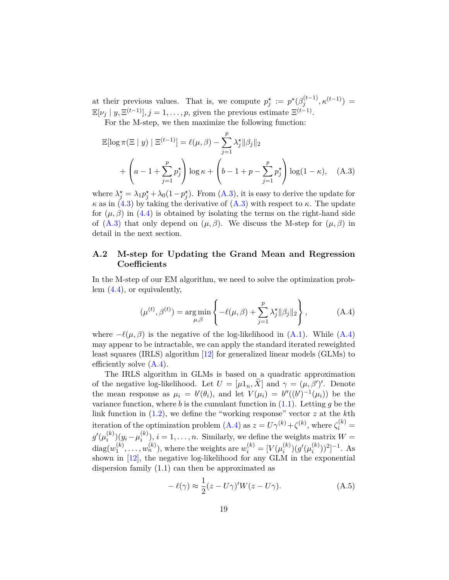at their previous values. That is, we compute  $p_j^* := p^* (\beta_j^{(t-1)})$  $\kappa^{(t-1)}, \kappa^{(t-1)}$ ) =  $\mathbb{E}[\nu_j | y, \Xi^{(t-1)}], j = 1, \ldots, p$ , given the previous estimate  $\Xi^{(t-1)}$ .

For the M-step, we then maximize the following function:

<span id="page-18-0"></span>
$$
\mathbb{E}[\log \pi (\Xi | y) | \Xi^{(t-1)}] = \ell(\mu, \beta) - \sum_{j=1}^{p} \lambda_j^* ||\beta_j||_2
$$
  
+ 
$$
\left(a - 1 + \sum_{j=1}^{p} p_j^* \right) \log \kappa + \left(b - 1 + p - \sum_{j=1}^{p} p_j^* \right) \log(1 - \kappa), \quad (A.3)
$$

where  $\lambda_j^* = \lambda_1 p_j^* + \lambda_0 (1 - p_j^*)$ . From [\(A.3\)](#page-18-0), it is easy to derive the update for  $\kappa$  as in [\(4.3\)](#page-9-4) by taking the derivative of [\(A.3\)](#page-18-0) with respect to  $\kappa$ . The update for  $(\mu, \beta)$  in [\(4.4\)](#page-9-1) is obtained by isolating the terms on the right-hand side of  $(A.3)$  that only depend on  $(\mu, \beta)$ . We discuss the M-step for  $(\mu, \beta)$  in detail in the next section.

### **A.2 M-step for Updating the Grand Mean and Regression Coefficients**

In the M-step of our EM algorithm, we need to solve the optimization problem [\(4.4\)](#page-9-1), or equivalently,

<span id="page-18-1"></span>
$$
(\mu^{(t)}, \beta^{(t)}) = \underset{\mu, \beta}{\arg \min} \left\{ -\ell(\mu, \beta) + \sum_{j=1}^{p} \lambda_j^* ||\beta_j||_2 \right\},
$$
 (A.4)

where  $-\ell(\mu, \beta)$  is the negative of the log-likelihood in  $(A.1)$ . While  $(A.4)$ may appear to be intractable, we can apply the standard iterated reweighted least squares (IRLS) algorithm [\[12\]](#page-15-2) for generalized linear models (GLMs) to efficiently solve  $(A.4)$ .

The IRLS algorithm in GLMs is based on a quadratic approximation of the negative log-likelihood. Let  $U = [\mu 1_n, \tilde{X}]$  and  $\gamma = (\mu, \beta')'$ . Denote the mean response as  $\mu_i = b'(\theta_i)$ , and let  $V(\mu_i) = b''((b')^{-1}(\mu_i))$  be the variance function, where  $b$  is the cumulant function in  $(1.1)$ . Letting  $g$  be the link function in [\(1.2\)](#page-1-1), we define the "working response" vector *z* at the *k*th iteration of the optimization problem  $(A.4)$  as  $z = U\gamma^{(k)} + \zeta^{(k)}$ , where  $\zeta_i^{(k)} =$  $g'(\mu_i^{(k)})$  $\mu_i^{(k)}$ ) $(y_i - \mu_i^{(k)})$  $i^{(k)}$ ,  $i = 1, \ldots, n$ . Similarly, we define the weights matrix  $W =$  $diag(w_1^{(k)}$  $u_1^{(k)}, \ldots, u_n^{(k)}$ ), where the weights are  $w_i^{(k)} = [V(\mu_i^{(k)})]$  $g'(\mu_i^{(k)})$  $\binom{k}{i}$ )<sup>2</sup>]<sup>-1</sup>. As shown in [\[12\]](#page-15-2), the negative log-likelihood for any GLM in the exponential dispersion family (1.1) can then be approximated as

<span id="page-18-2"></span>
$$
-\ell(\gamma) \approx \frac{1}{2}(z - U\gamma)'W(z - U\gamma).
$$
 (A.5)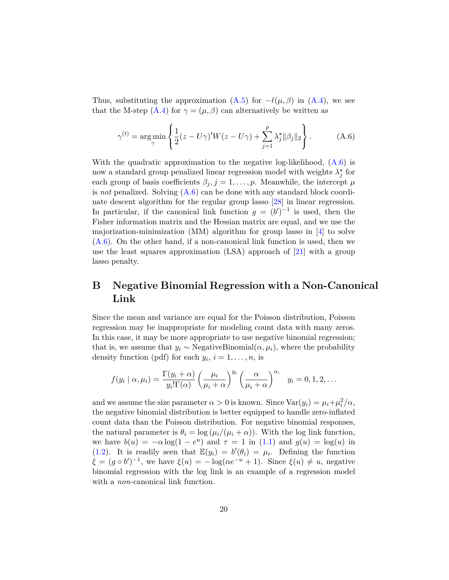Thus, substituting the approximation  $(A.5)$  for  $-\ell(\mu, \beta)$  in  $(A.4)$ , we see that the M-step  $(A.4)$  for  $\gamma = (\mu, \beta)$  can alternatively be written as

<span id="page-19-1"></span>
$$
\gamma^{(t)} = \arg\min_{\gamma} \left\{ \frac{1}{2} (z - U\gamma)' W(z - U\gamma) + \sum_{j=1}^{p} \lambda_j^* ||\beta_j||_2 \right\}.
$$
 (A.6)

With the quadratic approximation to the negative log-likelihood,  $(A.6)$  is now a standard group penalized linear regression model with weights  $\lambda_j^*$  for each group of basis coefficients  $\beta_j$ ,  $j = 1, \ldots, p$ . Meanwhile, the intercept  $\mu$ is *not* penalized. Solving [\(A.6\)](#page-19-1) can be done with any standard block coordinate descent algorithm for the regular group lasso [\[28\]](#page-17-1) in linear regression. In particular, if the canonical link function  $g = (b')^{-1}$  is used, then the Fisher information matrix and the Hessian matrix are equal, and we use the majorization-minimization (MM) algorithm for group lasso in [\[4\]](#page-15-11) to solve  $(A.6)$ . On the other hand, if a non-canonical link function is used, then we use the least squares approximation (LSA) approach of [\[21\]](#page-16-10) with a group lasso penalty.

# <span id="page-19-0"></span>**B Negative Binomial Regression with a Non-Canonical Link**

Since the mean and variance are equal for the Poisson distribution, Poisson regression may be inappropriate for modeling count data with many zeros. In this case, it may be more appropriate to use negative binomial regression; that is, we assume that  $y_i \sim$  NegativeBinomial $(\alpha, \mu_i)$ , where the probability density function (pdf) for each  $y_i$ ,  $i = 1, \ldots, n$ , is

$$
f(y_i | \alpha, \mu_i) = \frac{\Gamma(y_i + \alpha)}{y_i! \Gamma(\alpha)} \left(\frac{\mu_i}{\mu_i + \alpha}\right)^{y_i} \left(\frac{\alpha}{\mu_i + \alpha}\right)^{\alpha_i} \quad y_i = 0, 1, 2, \dots
$$

and we assume the size parameter  $\alpha > 0$  is known. Since  $\text{Var}(y_i) = \mu_i + \mu_i^2/\alpha$ , the negative binomial distribution is better equipped to handle zero-inflated count data than the Poisson distribution. For negative binomial responses, the natural parameter is  $\theta_i = \log(\mu_i/(\mu_i + \alpha))$ . With the log link function, we have  $b(u) = -\alpha \log(1 - e^u)$  and  $\tau = 1$  in [\(1.1\)](#page-1-0) and  $g(u) = \log(u)$  in [\(1.2\)](#page-1-1). It is readily seen that  $\mathbb{E}(y_i) = b'(\theta_i) = \mu_i$ . Defining the function  $\xi = (g \circ b')^{-1}$ , we have  $\xi(u) = -\log(\alpha e^{-u} + 1)$ . Since  $\xi(u) \neq u$ , negative binomial regression with the log link is an example of a regression model with a *non*-canonical link function.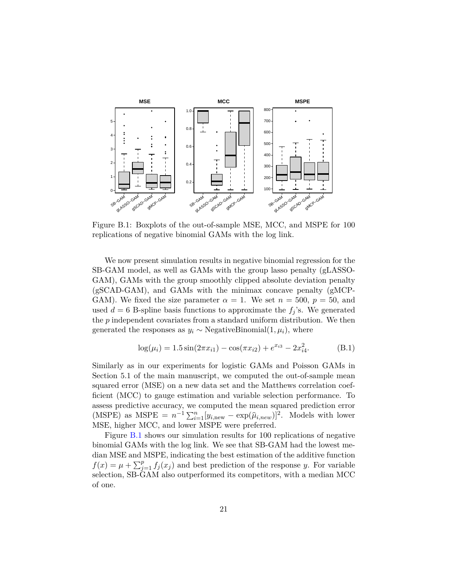<span id="page-20-0"></span>

Figure B.1: Boxplots of the out-of-sample MSE, MCC, and MSPE for 100 replications of negative binomial GAMs with the log link.

We now present simulation results in negative binomial regression for the SB-GAM model, as well as GAMs with the group lasso penalty (gLASSO-GAM), GAMs with the group smoothly clipped absolute deviation penalty (gSCAD-GAM), and GAMs with the minimax concave penalty (gMCP-GAM). We fixed the size parameter  $\alpha = 1$ . We set  $n = 500$ ,  $p = 50$ , and used  $d = 6$  B-spline basis functions to approximate the  $f<sub>j</sub>$ 's. We generated the *p* independent covariates from a standard uniform distribution. We then generated the responses as  $y_i \sim$  NegativeBinomial $(1, \mu_i)$ , where

$$
\log(\mu_i) = 1.5 \sin(2\pi x_{i1}) - \cos(\pi x_{i2}) + e^{x_{i3}} - 2x_{i4}^2.
$$
 (B.1)

Similarly as in our experiments for logistic GAMs and Poisson GAMs in Section 5.1 of the main manuscript, we computed the out-of-sample mean squared error (MSE) on a new data set and the Matthews correlation coefficient (MCC) to gauge estimation and variable selection performance. To assess predictive accuracy, we computed the mean squared prediction error (MSPE) as MSPE =  $n^{-1} \sum_{i=1}^{n} [y_{i,\text{new}} - \exp(\hat{\mu}_{i,\text{new}})]^2$ . Models with lower MSE, higher MCC, and lower MSPE were preferred.

Figure [B.1](#page-20-0) shows our simulation results for 100 replications of negative binomial GAMs with the log link. We see that SB-GAM had the lowest median MSE and MSPE, indicating the best estimation of the additive function  $f(x) = \mu + \sum_{j=1}^{p} f_j(x_j)$  and best prediction of the response *y*. For variable selection, SB-GAM also outperformed its competitors, with a median MCC of one.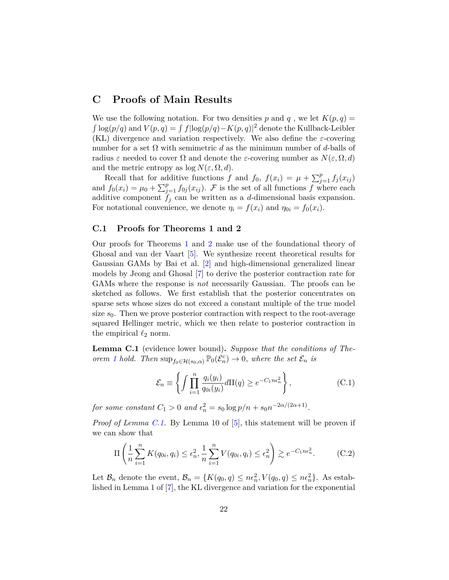# <span id="page-21-0"></span>**C Proofs of Main Results**

We use the following notation. For two densities p and q, we let  $K(p,q)$  $\int \log(p/q)$  and  $V(p,q) = \int f(\log(p/q) - K(p,q))^2$  denote the Kullback-Leibler (KL) divergence and variation respectively. We also define the *ε*-covering number for a set  $\Omega$  with semimetric d as the minimum number of d-balls of radius  $\varepsilon$  needed to cover  $\Omega$  and denote the  $\varepsilon$ -covering number as  $N(\varepsilon, \Omega, d)$ and the metric entropy as  $\log N(\varepsilon, \Omega, d)$ .

Recall that for additive functions *f* and *f*<sub>0</sub>,  $f(x_i) = \mu + \sum_{j=1}^p f_j(x_{ij})$ and  $f_0(x_i) = \mu_0 + \sum_{j=1}^p f_{0j}(x_{ij})$ . F is the set of all functions f where each additive component  $f_i$  can be written as a *d*-dimensional basis expansion. For notational convenience, we denote  $\eta_i = f(x_i)$  and  $\eta_{0i} = f_0(x_i)$ .

#### **C.1 Proofs for Theorems 1 and 2**

Our proofs for Theorems [1](#page-6-0) and [2](#page-6-1) make use of the foundational theory of Ghosal and van der Vaart [\[5\]](#page-15-9). We synthesize recent theoretical results for Gaussian GAMs by Bai et al. [\[2\]](#page-14-0) and high-dimensional generalized linear models by Jeong and Ghosal [\[7\]](#page-15-6) to derive the posterior contraction rate for GAMs where the response is *not* necessarily Gaussian. The proofs can be sketched as follows. We first establish that the posterior concentrates on sparse sets whose sizes do not exceed a constant multiple of the true model size  $s_0$ . Then we prove posterior contraction with respect to the root-average squared Hellinger metric, which we then relate to posterior contraction in the empirical  $\ell_2$  norm.

<span id="page-21-1"></span>**Lemma C.1** (evidence lower bound)**.** *Suppose that the conditions of Theorem [1](#page-6-0) hold.* Then  $\sup_{f_0 \in \mathcal{H}(s_0, \alpha)} \mathbb{P}_0(\mathcal{E}_n^c) \to 0$ , where the set  $\mathcal{E}_n$  *is* 

<span id="page-21-3"></span><span id="page-21-2"></span>
$$
\mathcal{E}_n \equiv \left\{ \int \prod_{i=1}^n \frac{q_i(y_i)}{q_{0i}(y_i)} d\Pi(q) \ge e^{-C_1 n \epsilon_n^2} \right\},\tag{C.1}
$$

*for some constant*  $C_1 > 0$  *and*  $\epsilon_n^2 = s_0 \log p/n + s_0 n^{-2\alpha/(2\alpha+1)}$ .

*Proof of Lemma [C.1.](#page-21-1)* By Lemma 10 of [\[5\]](#page-15-9), this statement will be proven if we can show that

$$
\Pi\left(\frac{1}{n}\sum_{i=1}^{n}K(q_{0i}, q_i) \le \epsilon_n^2, \frac{1}{n}\sum_{i=1}^{n}V(q_{0i}, q_i) \le \epsilon_n^2\right) \gtrsim e^{-C_1 n \epsilon_n^2}.
$$
 (C.2)

Let  $\mathcal{B}_n$  denote the event,  $\mathcal{B}_n = \{K(q_0, q) \leq n\epsilon_n^2, V(q_0, q) \leq n\epsilon_n^2\}$ . As established in Lemma 1 of [\[7\]](#page-15-6), the KL divergence and variation for the exponential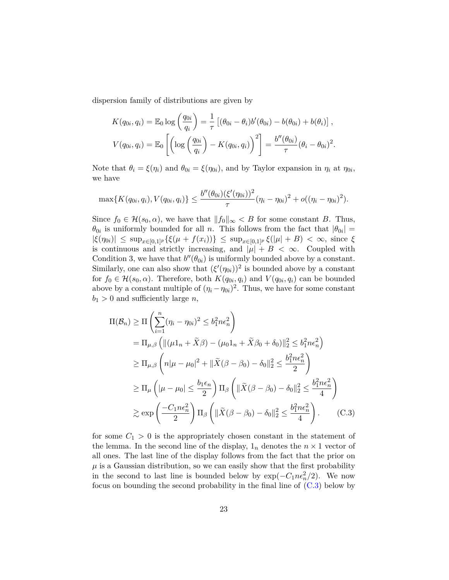dispersion family of distributions are given by

$$
K(q_{0i}, q_i) = \mathbb{E}_0 \log \left(\frac{q_{0i}}{q_i}\right) = \frac{1}{\tau} \left[ (\theta_{0i} - \theta_i) b'(\theta_{0i}) - b(\theta_{0i}) + b(\theta_i) \right],
$$
  

$$
V(q_{0i}, q_i) = \mathbb{E}_0 \left[ \left( \log \left(\frac{q_{0i}}{q_i}\right) - K(q_{0i}, q_i) \right)^2 \right] = \frac{b''(\theta_{0i})}{\tau} (\theta_i - \theta_{0i})^2.
$$

Note that  $\theta_i = \xi(\eta_i)$  and  $\theta_{0i} = \xi(\eta_{0i})$ , and by Taylor expansion in  $\eta_i$  at  $\eta_{0i}$ , we have

$$
\max\{K(q_{0i}, q_i), V(q_{0i}, q_i)\}\leq \frac{b''(\theta_{0i})(\xi'(\eta_{0i}))^2}{\tau}(\eta_i-\eta_{0i})^2+o((\eta_i-\eta_{0i})^2).
$$

Since  $f_0 \in \mathcal{H}(s_0, \alpha)$ , we have that  $||f_0||_{\infty} < B$  for some constant *B*. Thus,  $\theta_{0i}$  is uniformly bounded for all *n*. This follows from the fact that  $|\theta_{0i}| =$  $|\xi(\eta_{0i})| \leq \sup_{x \in [0,1]^p} {\{\xi(\mu + f(x_i))\}} \leq \sup_{x \in [0,1]^p} {\xi(\mu| + B) < \infty}, \text{ since } \xi$ is continuous and strictly increasing, and  $|\mu| + B < \infty$ . Coupled with Condition 3, we have that  $b''(\theta_{0i})$  is uniformly bounded above by a constant. Similarly, one can also show that  $(\xi'(\eta_{0i}))^2$  is bounded above by a constant for  $f_0 \in \mathcal{H}(s_0, \alpha)$ . Therefore, both  $K(q_{0i}, q_i)$  and  $V(q_{0i}, q_i)$  can be bounded above by a constant multiple of  $(\eta_i - \eta_{0i})^2$ . Thus, we have for some constant  $b_1 > 0$  and sufficiently large *n*,

<span id="page-22-0"></span>
$$
\Pi(\mathcal{B}_n) \ge \Pi \left( \sum_{i=1}^n (\eta_i - \eta_{0i})^2 \le b_1^2 n \epsilon_n^2 \right)
$$
  
\n
$$
= \Pi_{\mu,\beta} \left( \| (\mu \mathbf{1}_n + \widetilde{X}\beta) - (\mu_0 \mathbf{1}_n + \widetilde{X}\beta_0 + \delta_0) \|_2^2 \le b_1^2 n \epsilon_n^2 \right)
$$
  
\n
$$
\ge \Pi_{\mu,\beta} \left( n|\mu - \mu_0|^2 + \| \widetilde{X}(\beta - \beta_0) - \delta_0 \|_2^2 \le \frac{b_1^2 n \epsilon_n^2}{2} \right)
$$
  
\n
$$
\ge \Pi_{\mu} \left( |\mu - \mu_0| \le \frac{b_1 \epsilon_n}{2} \right) \Pi_{\beta} \left( \| \widetilde{X}(\beta - \beta_0) - \delta_0 \|_2^2 \le \frac{b_1^2 n \epsilon_n^2}{4} \right)
$$
  
\n
$$
\ge \exp \left( \frac{-C_1 n \epsilon_n^2}{2} \right) \Pi_{\beta} \left( \| \widetilde{X}(\beta - \beta_0) - \delta_0 \|_2^2 \le \frac{b_1^2 n \epsilon_n^2}{4} \right). \tag{C.3}
$$

for some  $C_1 > 0$  is the appropriately chosen constant in the statement of the lemma. In the second line of the display,  $1_n$  denotes the  $n \times 1$  vector of all ones. The last line of the display follows from the fact that the prior on  $\mu$  is a Gaussian distribution, so we can easily show that the first probability in the second to last line is bounded below by  $exp(-C_1n\epsilon_n^2/2)$ . We now focus on bounding the second probability in the final line of  $(C.3)$  below by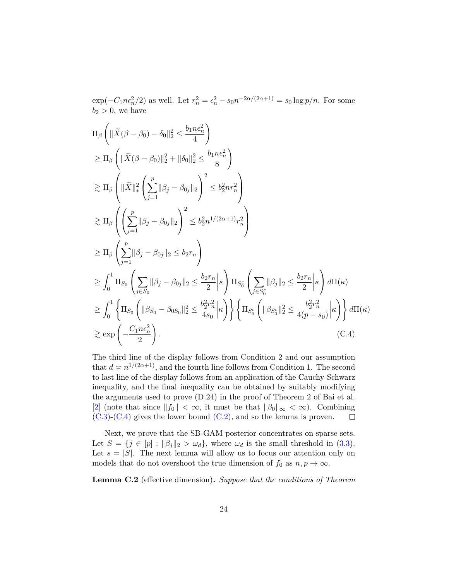$\exp(-C_1 n \epsilon_n^2/2)$  as well. Let  $r_n^2 = \epsilon_n^2 - s_0 n^{-2\alpha/(2\alpha+1)} = s_0 \log p/n$ . For some  $b_2 > 0$ , we have

$$
\Pi_{\beta} \left( \|\tilde{X}(\beta - \beta_0) - \delta_0\|_2^2 \le \frac{b_1 n \epsilon_n^2}{4} \right)
$$
\n
$$
\ge \Pi_{\beta} \left( \|\tilde{X}(\beta - \beta_0)\|_2^2 + \|\delta_0\|_2^2 \le \frac{b_1 n \epsilon_n^2}{8} \right)
$$
\n
$$
\ge \Pi_{\beta} \left( \|\tilde{X}\|_*^2 \left( \sum_{j=1}^p \|\beta_j - \beta_{0j}\|_2 \right)^2 \le b_2^2 n r_n^2 \right)
$$
\n
$$
\ge \Pi_{\beta} \left( \left( \sum_{j=1}^p \|\beta_j - \beta_{0j}\|_2 \right)^2 \le b_2^2 n^{1/(2\alpha+1)} r_n^2 \right)
$$
\n
$$
\ge \Pi_{\beta} \left( \sum_{j=1}^p \|\beta_j - \beta_{0j}\|_2 \le b_2 r_n \right)
$$
\n
$$
\ge \int_0^1 \Pi_{S_0} \left( \sum_{j \in S_0} \|\beta_j - \beta_{0j}\|_2 \le \frac{b_2 r_n}{2} \epsilon \right) \Pi_{S_0} \left( \sum_{j \in S_0^c} \|\beta_j\|_2 \le \frac{b_2 r_n}{2} \epsilon \right) d\Pi(\kappa)
$$
\n
$$
\ge \int_0^1 \left\{ \Pi_{S_0} \left( \|\beta_{S_0} - \beta_{0S_0}\|_2^2 \le \frac{b_2^2 r_n^2}{4s_0} \epsilon \right) \right\} \left\{ \Pi_{S_0} \left( \|\beta_{S_0}\|_2^2 \le \frac{b_2^2 r_n^2}{4(p - s_0)} \epsilon \right) \right\} d\Pi(\kappa)
$$
\n
$$
\ge \exp \left( -\frac{C_1 n \epsilon_n^2}{2} \right). \tag{C.4}
$$

<span id="page-23-0"></span>The third line of the display follows from Condition 2 and our assumption that  $d \asymp n^{1/(2\alpha+1)}$ , and the fourth line follows from Condition 1. The second to last line of the display follows from an application of the Cauchy-Schwarz inequality, and the final inequality can be obtained by suitably modifying the arguments used to prove (D.24) in the proof of Theorem 2 of Bai et al. [\[2\]](#page-14-0) (note that since  $||f_0|| < \infty$ , it must be that  $||\beta_0||_{\infty} < \infty$ ). Combining  $(C.3)-(C.4)$  $(C.3)-(C.4)$  $(C.3)-(C.4)$  gives the lower bound  $(C.2)$ , and so the lemma is proven.  $\Box$ 

Next, we prove that the SB-GAM posterior concentrates on sparse sets. Let  $S = \{j \in [p] : ||\beta_j||_2 > \omega_d\}$ , where  $\omega_d$  is the small threshold in [\(3.3\)](#page-7-0). Let  $s = |S|$ . The next lemma will allow us to focus our attention only on models that do not overshoot the true dimension of  $f_0$  as  $n, p \to \infty$ .

<span id="page-23-1"></span>**Lemma C.2** (effective dimension)**.** *Suppose that the conditions of Theorem*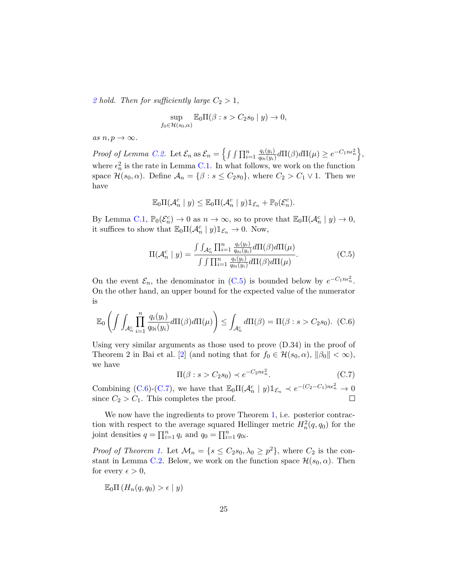[2](#page-6-1) *hold.* Then for sufficiently large  $C_2 > 1$ ,

$$
\sup_{f_0 \in \mathcal{H}(s_0,\alpha)} \mathbb{E}_0 \Pi(\beta : s > C_2 s_0 \mid y) \to 0,
$$

 $as n, p \rightarrow \infty$ .

*Proof of Lemma [C.2.](#page-23-1)* Let  $\mathcal{E}_n$  as  $\mathcal{E}_n = \left\{ \int \int \prod_{i=1}^n \frac{q_i(y_i)}{q_{0i}(y_i)} \right\}$  $\frac{q_i(y_i)}{q_{0i}(y_i)} d\Pi(\beta) d\Pi(\mu) \geq e^{-C_1 n \epsilon_n^2} \Big\},$ where  $\epsilon_n^2$  is the rate in Lemma [C.1.](#page-21-1) In what follows, we work on the function space  $\mathcal{H}(s_0, \alpha)$ . Define  $\mathcal{A}_n = \{\beta : s \leq C_2 s_0\}$ , where  $C_2 > C_1 \vee 1$ . Then we have

$$
\mathbb{E}_0\Pi(\mathcal{A}_n^c \mid y) \leq \mathbb{E}_0\Pi(\mathcal{A}_n^c \mid y)\mathbbm{1}_{\mathcal{E}_n} + \mathbb{P}_0(\mathcal{E}_n^c).
$$

By Lemma [C.1,](#page-21-1)  $\mathbb{P}_0(\mathcal{E}_n^c) \to 0$  as  $n \to \infty$ , so to prove that  $\mathbb{E}_0\Pi(\mathcal{A}_n^c \mid y) \to 0$ , it suffices to show that  $\mathbb{E}_0\Pi(\mathcal{A}_n^c | y)\mathbb{1}_{\mathcal{E}_n} \to 0$ . Now,

<span id="page-24-0"></span>
$$
\Pi(\mathcal{A}_n^c \mid y) = \frac{\int \int_{\mathcal{A}_n^c} \prod_{i=1}^n \frac{q_i(y_i)}{q_{0i}(y_i)} d\Pi(\beta) d\Pi(\mu)}{\int \int \prod_{i=1}^n \frac{q_i(y_i)}{q_{0i}(y_i)} d\Pi(\beta) d\Pi(\mu)}.
$$
(C.5)

On the event  $\mathcal{E}_n$ , the denominator in [\(C.5\)](#page-24-0) is bounded below by  $e^{-C_1 n \epsilon_n^2}$ . On the other hand, an upper bound for the expected value of the numerator is

<span id="page-24-1"></span>
$$
\mathbb{E}_0\left(\int\int_{\mathcal{A}_n^c} \prod_{i=1}^n \frac{q_i(y_i)}{q_{0i}(y_i)} d\Pi(\beta) d\Pi(\mu)\right) \le \int_{\mathcal{A}_n^c} d\Pi(\beta) = \Pi(\beta : s > C_2 s_0). \tag{C.6}
$$

Using very similar arguments as those used to prove (D.34) in the proof of Theorem 2 in Bai et al. [\[2\]](#page-14-0) (and noting that for  $f_0 \in \mathcal{H}(s_0, \alpha)$ ,  $\|\beta_0\| < \infty$ ), we have

<span id="page-24-2"></span>
$$
\Pi(\beta : s > C_2 s_0) \prec e^{-C_2 n \epsilon_n^2}.
$$
\n(C.7)

Combining [\(C.6\)](#page-24-1)-[\(C.7\)](#page-24-2), we have that  $\mathbb{E}_0 \Pi(\mathcal{A}_n^c | y) \mathbb{1}_{\mathcal{E}_n} \prec e^{-(C_2 - C_1)n\epsilon_n^2} \to 0$ since  $C_2 > C_1$ . This completes the proof.  $\Box$ 

We now have the ingredients to prove Theorem [1,](#page-6-0) i.e. posterior contraction with respect to the average squared Hellinger metric  $H_n^2(q, q_0)$  for the joint densities  $q = \prod_{i=1}^{n} q_i$  and  $q_0 = \prod_{i=1}^{n} q_{0i}$ .

*Proof of Theorem [1.](#page-6-0)* Let  $\mathcal{M}_n = \{s \leq C_2s_0, \lambda_0 \geq p^2\}$ , where  $C_2$  is the con-stant in Lemma [C.2.](#page-23-1) Below, we work on the function space  $\mathcal{H}(s_0, \alpha)$ . Then for every  $\epsilon > 0$ ,

$$
\mathbb{E}_0 \Pi \left( H_n(q, q_0) > \epsilon \mid y \right)
$$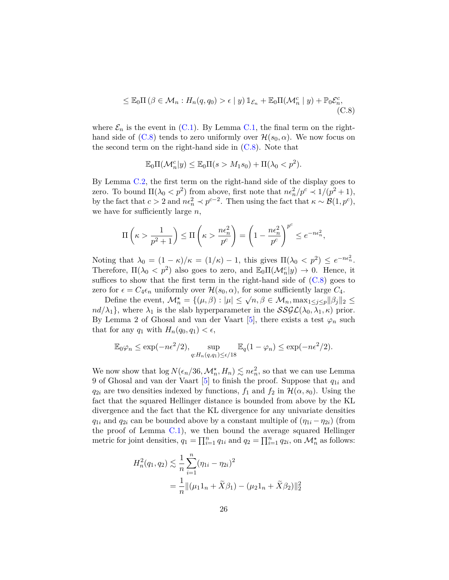$$
\leq \mathbb{E}_0 \Pi \left( \beta \in \mathcal{M}_n : H_n(q, q_0) > \epsilon \mid y \right) \mathbb{1}_{\mathcal{E}_n} + \mathbb{E}_0 \Pi(\mathcal{M}_n^c \mid y) + \mathbb{P}_0 \mathcal{E}_n^c,
$$
\n(C.8)

where  $\mathcal{E}_n$  is the event in [\(C.1\)](#page-21-3). By Lemma [C.1,](#page-21-1) the final term on the righthand side of  $(C.8)$  tends to zero uniformly over  $\mathcal{H}(s_0, \alpha)$ . We now focus on the second term on the right-hand side in  $(C.8)$ . Note that

<span id="page-25-0"></span>
$$
\mathbb{E}_0\Pi(\mathcal{M}_n^c|y) \le \mathbb{E}_0\Pi(s > M_1s_0) + \Pi(\lambda_0 < p^2).
$$

By Lemma [C.2,](#page-23-1) the first term on the right-hand side of the display goes to zero. To bound  $\Pi(\lambda_0 < p^2)$  from above, first note that  $n\epsilon_n^2/p^c \prec 1/(p^2+1)$ , by the fact that  $c > 2$  and  $n\epsilon_n^2 \prec p^{c-2}$ . Then using the fact that  $\kappa \sim \mathcal{B}(1, p^c)$ , we have for sufficiently large *n*,

$$
\Pi\left(\kappa > \frac{1}{p^2 + 1}\right) \le \Pi\left(\kappa > \frac{n\epsilon_n^2}{p^c}\right) = \left(1 - \frac{n\epsilon_n^2}{p^c}\right)^{p^c} \le e^{-n\epsilon_n^2},
$$

Noting that  $\lambda_0 = (1 - \kappa)/\kappa = (1/\kappa) - 1$ , this gives  $\Pi(\lambda_0 < p^2) \leq e^{-n\epsilon_n^2}$ . Therefore,  $\Pi(\lambda_0 < p^2)$  also goes to zero, and  $\mathbb{E}_0\Pi(\mathcal{M}_n^c|y) \to 0$ . Hence, it suffices to show that the first term in the right-hand side of  $(C.8)$  goes to zero for  $\epsilon = C_4 \epsilon_n$  uniformly over  $\mathcal{H}(s_0, \alpha)$ , for some sufficiently large  $C_4$ .

Define the event,  $\mathcal{M}_n^* = \{(\mu, \beta) : |\mu| \leq \sqrt{n}, \beta \in \mathcal{M}_n, \max_{1 \leq j \leq p} ||\beta_j||_2 \leq \beta$  $nd/\lambda_1$ , where  $\lambda_1$  is the slab hyperparameter in the  $SSGL(\lambda_0, \lambda_1, \kappa)$  prior. By Lemma 2 of Ghosal and van der Vaart  $[5]$ , there exists a test  $\varphi_n$  such that for any  $q_1$  with  $H_n(q_0, q_1) < \epsilon$ ,

$$
\mathbb{E}_0\varphi_n \le \exp(-n\epsilon^2/2), \sup_{q:H_n(q,q_1)\le \epsilon/18} \mathbb{E}_q(1-\varphi_n) \le \exp(-n\epsilon^2/2).
$$

We now show that  $\log N(\epsilon_n/36, \mathcal{M}_n^{\star}, H_n) \lesssim n\epsilon_n^2$ , so that we can use Lemma 9 of Ghosal and van der Vaart [\[5\]](#page-15-9) to finish the proof. Suppose that *q*1*<sup>i</sup>* and *q*<sub>2*i*</sub> are two densities indexed by functions,  $f_1$  and  $f_2$  in  $\mathcal{H}(\alpha, s_0)$ . Using the fact that the squared Hellinger distance is bounded from above by the KL divergence and the fact that the KL divergence for any univariate densities *q*<sub>1*i*</sub> and *q*<sub>2*i*</sub> can be bounded above by a constant multiple of  $(\eta_{1i} - \eta_{2i})$  (from the proof of Lemma  $C.1$ , we then bound the average squared Hellinger metric for joint densities,  $q_1 = \prod_{i=1}^n q_{1i}$  and  $q_2 = \prod_{i=1}^n q_{2i}$ , on  $\mathcal{M}_n^*$  as follows:

$$
H_n^2(q_1, q_2) \lesssim \frac{1}{n} \sum_{i=1}^n (\eta_{1i} - \eta_{2i})^2
$$
  
= 
$$
\frac{1}{n} ||(\mu_1 1_n + \tilde{X}\beta_1) - (\mu_2 1_n + \tilde{X}\beta_2)||_2^2
$$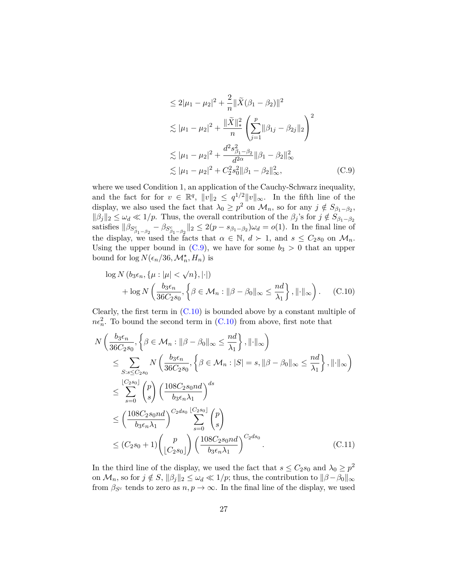<span id="page-26-0"></span>
$$
\leq 2|\mu_1 - \mu_2|^2 + \frac{2}{n} \|\tilde{X}(\beta_1 - \beta_2)\|^2
$$
  
\n
$$
\lesssim |\mu_1 - \mu_2|^2 + \frac{\|\tilde{X}\|_{*}^2}{n} \left(\sum_{j=1}^p \|\beta_{1j} - \beta_{2j}\|_2\right)^2
$$
  
\n
$$
\lesssim |\mu_1 - \mu_2|^2 + \frac{d^2 s_{\beta_1 - \beta_2}}{d^{2\alpha}} \|\beta_1 - \beta_2\|_{\infty}^2
$$
  
\n
$$
\lesssim |\mu_1 - \mu_2|^2 + C_2^2 s_0^2 \|\beta_1 - \beta_2\|_{\infty}^2,
$$
 (C.9)

where we used Condition 1, an application of the Cauchy-Schwarz inequality, and the fact for for  $v \in \mathbb{R}^q$ ,  $||v||_2 \leq q^{1/2} ||v||_{\infty}$ . In the fifth line of the display, we also used the fact that  $\lambda_0 \ge p^2$  on  $\mathcal{M}_n$ , so for any  $j \notin S_{\beta_1-\beta_2}$ ,  $\|\beta_j\|_2 \leq \omega_d \ll 1/p$ . Thus, the overall contribution of the  $\beta_j$ 's for  $j \notin S_{\beta_1-\beta_2}$ satisfies  $\|\beta_{S_{\beta_1-\beta_2}^c} - \beta_{S_{\beta_1-\beta_2}^c}\|_2 \leq 2(p - s_{\beta_1-\beta_2})\omega_d = o(1)$ . In the final line of the display, we used the facts that  $\alpha \in \mathbb{N}$ ,  $d \succ 1$ , and  $s \leq C_2 s_0$  on  $\mathcal{M}_n$ . Using the upper bound in  $(C.9)$ , we have for some  $b_3 > 0$  that an upper bound for  $\log N(\epsilon_n/36, \mathcal{M}_n^{\star}, H_n)$  is

<span id="page-26-1"></span>
$$
\log N(b_3 \epsilon_n, \{\mu : |\mu| < \sqrt{n}\}, |\cdot|)
$$
\n
$$
+ \log N\left(\frac{b_3 \epsilon_n}{36 C_2 s_0}, \{\beta \in \mathcal{M}_n : ||\beta - \beta_0||_{\infty} \le \frac{nd}{\lambda_1}\}, ||\cdot||_{\infty}\right). \tag{C.10}
$$

Clearly, the first term in  $(C.10)$  is bounded above by a constant multiple of  $n\epsilon_n^2$ . To bound the second term in [\(C.10\)](#page-26-1) from above, first note that

$$
N\left(\frac{b_3\epsilon_n}{36C_2s_0}, \left\{\beta \in \mathcal{M}_n : ||\beta - \beta_0||_{\infty} \le \frac{nd}{\lambda_1}\right\}, ||\cdot||_{\infty}\right)
$$
  
\n
$$
\le \sum_{S:s \le C_2s_0} N\left(\frac{b_3\epsilon_n}{36C_2s_0}, \left\{\beta \in \mathcal{M}_n : |S| = s, ||\beta - \beta_0||_{\infty} \le \frac{nd}{\lambda_1}\right\}, ||\cdot||_{\infty}\right)
$$
  
\n
$$
\le \sum_{s=0}^{\lfloor C_2s_0 \rfloor} {p \choose s} \left(\frac{108C_2s_0nd}{b_3\epsilon_n\lambda_1}\right)^{ds}
$$
  
\n
$$
\le \left(\frac{108C_2s_0nd}{b_3\epsilon_n\lambda_1}\right)^{C_2ds_0} \sum_{s=0}^{\lfloor C_2s_0 \rfloor} {p \choose s}
$$
  
\n
$$
\le (C_2s_0 + 1) {p \choose \lfloor C_2s_0 \rfloor} \left(\frac{108C_2s_0nd}{b_3\epsilon_n\lambda_1}\right)^{C_2ds_0}.
$$
 (C.11)

<span id="page-26-2"></span>In the third line of the display, we used the fact that  $s \leq C_2 s_0$  and  $\lambda_0 \geq p^2$ on  $\mathcal{M}_n$ , so for  $j \notin S$ ,  $\|\beta_j\|_2 \leq \omega_d \ll 1/p$ ; thus, the contribution to  $\|\beta - \beta_0\|_{\infty}$ from  $\beta_{S^c}$  tends to zero as  $n, p \to \infty$ . In the final line of the display, we used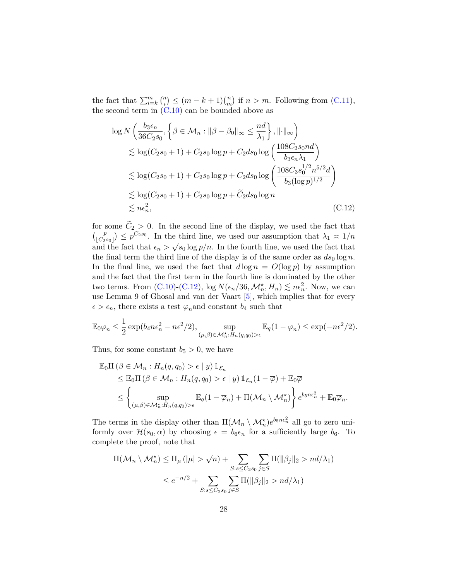the fact that  $\sum_{i=k}^{m} {n \choose i} \le (m-k+1) {n \choose m}$  if  $n > m$ . Following from [\(C.11\)](#page-26-2), the second term in  $(C.10)$  can be bounded above as

<span id="page-27-0"></span>
$$
\log N\left(\frac{b_3\epsilon_n}{36C_2s_0}, \left\{\beta \in \mathcal{M}_n : ||\beta - \beta_0||_{\infty} \le \frac{nd}{\lambda_1}\right\}, ||\cdot||_{\infty}\right)
$$
  
\n
$$
\lesssim \log(C_2s_0 + 1) + C_2s_0 \log p + C_2ds_0 \log\left(\frac{108C_2s_0nd}{b_3\epsilon_n\lambda_1}\right)
$$
  
\n
$$
\lesssim \log(C_2s_0 + 1) + C_2s_0 \log p + C_2ds_0 \log\left(\frac{108C_3s_0^{1/2}n^{5/2}d}{b_3(\log p)^{1/2}}\right)
$$
  
\n
$$
\lesssim \log(C_2s_0 + 1) + C_2s_0 \log p + \tilde{C}_2ds_0 \log n
$$
  
\n
$$
\lesssim n\epsilon_n^2,
$$
\n(C.12)

for some  $C_2 > 0$ . In the second line of the display, we used the fact that  $\binom{p}{c_2 s_0} \leq p^{C_2 s_0}$ . In the third line, we used our assumption that  $\lambda_1 \asymp 1/n$ and the fact that  $\epsilon_n > \sqrt{s_0 \log p/n}$ . In the fourth line, we used the fact that the final term the third line of the display is of the same order as  $ds_0 \log n$ . In the final line, we used the fact that  $d \log n = O(\log p)$  by assumption and the fact that the first term in the fourth line is dominated by the other two terms. From [\(C.10\)](#page-26-1)-[\(C.12\)](#page-27-0),  $\log N(\epsilon_n/36, \mathcal{M}_n^{\star}, H_n) \lesssim n\epsilon_n^2$ . Now, we can use Lemma 9 of Ghosal and van der Vaart [\[5\]](#page-15-9), which implies that for every  $\epsilon > \epsilon_n$ , there exists a test  $\overline{\varphi}_n$  and constant *b*<sub>4</sub> such that

$$
\mathbb{E}_0 \overline{\varphi}_n \le \frac{1}{2} \exp(b_4 n \epsilon_n^2 - n \epsilon^2 / 2), \sup_{(\mu,\beta) \in \mathcal{M}_n^{\star}: H_n(q,q_0) > \epsilon} \mathbb{E}_q(1 - \overline{\varphi}_n) \le \exp(-n \epsilon^2 / 2).
$$

Thus, for some constant  $b_5 > 0$ , we have

$$
\mathbb{E}_{0}\Pi\left(\beta \in \mathcal{M}_{n}: H_{n}(q, q_{0}) > \epsilon \mid y\right) \mathbb{1}_{\mathcal{E}_{n}}\leq \mathbb{E}_{0}\Pi\left(\beta \in \mathcal{M}_{n}: H_{n}(q, q_{0}) > \epsilon \mid y\right) \mathbb{1}_{\mathcal{E}_{n}}(1-\overline{\varphi}) + \mathbb{E}_{0}\overline{\varphi}\leq \left\{\sup_{(\mu,\beta)\in\mathcal{M}_{n}^{\star}: H_{n}(q,q_{0}) > \epsilon} \mathbb{E}_{q}(1-\overline{\varphi}_{n}) + \Pi(\mathcal{M}_{n}\setminus\mathcal{M}_{n}^{\star})\right\} e^{b_{5}n\epsilon_{n}^{2}} + \mathbb{E}_{0}\overline{\varphi}_{n}.
$$

The terms in the display other than  $\Pi(\mathcal{M}_n \setminus \mathcal{M}_n^{\star})e^{b_5n\epsilon_n^2}$  all go to zero uniformly over  $\mathcal{H}(s_0, \alpha)$  by choosing  $\epsilon = b_0 \epsilon_n$  for a sufficiently large  $b_6$ . To complete the proof, note that

$$
\Pi(\mathcal{M}_n \setminus \mathcal{M}_n^{\star}) \leq \Pi_{\mu}(|\mu| > \sqrt{n}) + \sum_{S:s \leq C_2 s_0} \sum_{j \in S} \Pi(\|\beta_j\|_2 > nd/\lambda_1)
$$
  

$$
\leq e^{-n/2} + \sum_{S:s \leq C_2 s_0} \sum_{j \in S} \Pi(\|\beta_j\|_2 > nd/\lambda_1)
$$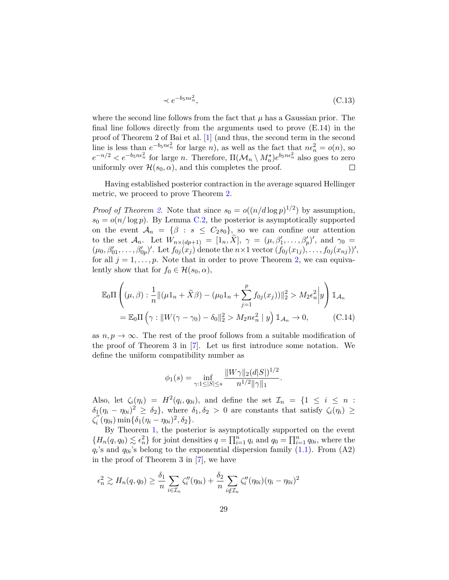$$
\prec e^{-b_5 n \epsilon_n^2},\tag{C.13}
$$

where the second line follows from the fact that  $\mu$  has a Gaussian prior. The final line follows directly from the arguments used to prove (E.14) in the proof of Theorem 2 of Bai et al. [\[1\]](#page-14-2) (and thus, the second term in the second line is less than  $e^{-b_5 n \epsilon_n^2}$  for large *n*), as well as the fact that  $n\epsilon_n^2 = o(n)$ , so  $e^{-n/2} < e^{-b_5 n \epsilon_n^2}$  for large *n*. Therefore,  $\Pi(\mathcal{M}_n \setminus M_n^{\star})e^{b_5 n \epsilon_n^2}$  also goes to zero uniformly over  $\mathcal{H}(s_0, \alpha)$ , and this completes the proof.  $\Box$ 

Having established posterior contraction in the average squared Hellinger metric, we proceed to prove Theorem [2.](#page-6-1)

*Proof of Theorem [2.](#page-6-1)* Note that since  $s_0 = o((n/d \log p)^{1/2})$  by assumption,  $s_0 = o(n/\log p)$ . By Lemma [C.2,](#page-23-1) the posterior is asymptotically supported on the event  $A_n = \{\beta : s \leq C_2 s_0\}$ , so we can confine our attention to the set  $\mathcal{A}_n$ . Let  $W_{n \times (dp+1)} = [1_n, \tilde{X}], \gamma = (\mu, \beta'_1, \dots, \beta'_p)'$ , and  $\gamma_0 =$  $(\mu_0, \beta'_{01}, \ldots, \beta'_{0p})'$ . Let  $f_{0j}(x_j)$  denote the  $n \times 1$  vector  $(f_{0j}(x_{1j}), \ldots, f_{0j}(x_{nj}))'$ , for all  $j = 1, \ldots, p$ . Note that in order to prove Theorem [2,](#page-6-1) we can equivalently show that for  $f_0 \in \mathcal{H}(s_0, \alpha)$ ,

$$
\mathbb{E}_{0}\Pi\left((\mu,\beta): \frac{1}{n} \|(\mu 1_{n} + \tilde{X}\beta) - (\mu_{0} 1_{n} + \sum_{j=1}^{p} f_{0j}(x_{j}))\|_{2}^{2} > M_{2}\epsilon_{n}^{2} \Big|y\right) \mathbb{1}_{\mathcal{A}_{n}} \n= \mathbb{E}_{0}\Pi\left(\gamma: \|W(\gamma - \gamma_{0}) - \delta_{0}\|_{2}^{2} > M_{2}n\epsilon_{n}^{2} \mid y\right) \mathbb{1}_{\mathcal{A}_{n}} \to 0,
$$
\n(C.14)

as  $n, p \to \infty$ . The rest of the proof follows from a suitable modification of the proof of Theorem 3 in [\[7\]](#page-15-6). Let us first introduce some notation. We define the uniform compatibility number as

<span id="page-28-0"></span>
$$
\phi_1(s) = \inf_{\gamma: 1 \le |S| \le s} \frac{\|W\gamma\|_2 (d|S|)^{1/2}}{n^{1/2} \|\gamma\|_1}.
$$

Also, let  $\zeta_i(\eta_i) = H^2(q_i, q_{0i})$ , and define the set  $\mathcal{I}_n = \{1 \leq i \leq n :$  $\delta_1(\eta_i - \eta_{0i})^2 \ge \delta_2$ , where  $\delta_1, \delta_2 > 0$  are constants that satisfy  $\zeta_i(\eta_i) \ge$ ζ''  $\int_{i}^{\prime\prime} (\eta_{0i}) \min\{\delta_1(\eta_i - \eta_{0i})^2, \delta_2\}.$ 

By Theorem [1,](#page-6-0) the posterior is asymptotically supported on the event  ${H_n(q, q_0) \leq \epsilon_n^2}$  for joint densities  $q = \prod_{i=1}^n q_i$  and  $q_0 = \prod_{i=1}^n q_{0i}$ , where the  $q_i$ 's and  $q_{0i}$ 's belong to the exponential dispersion family  $(1.1)$ . From  $(A2)$ in the proof of Theorem 3 in [\[7\]](#page-15-6), we have

$$
\epsilon_n^2 \gtrsim H_n(q, q_0) \ge \frac{\delta_1}{n} \sum_{i \in \mathcal{I}_n} \zeta_i''(\eta_{0i}) + \frac{\delta_2}{n} \sum_{i \notin \mathcal{I}_n} \zeta_i''(\eta_{0i}) (\eta_i - \eta_{0i})^2
$$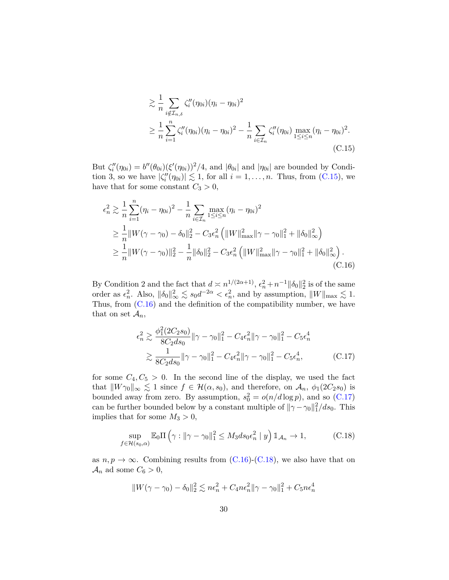<span id="page-29-0"></span>
$$
\geq \frac{1}{n} \sum_{i \notin \mathcal{I}_{n,\delta}} \zeta_i''(\eta_{0i})(\eta_i - \eta_{0i})^2
$$
  
\n
$$
\geq \frac{1}{n} \sum_{i=1}^n \zeta_i''(\eta_{0i})(\eta_i - \eta_{0i})^2 - \frac{1}{n} \sum_{i \in \mathcal{I}_n} \zeta_i''(\eta_{0i}) \max_{1 \leq i \leq n} (\eta_i - \eta_{0i})^2.
$$
  
\n(C.15)

But  $\zeta''_i(\eta_{0i}) = b''(\theta_{0i})(\xi'(\eta_{0i}))^2/4$ , and  $|\theta_{0i}|$  and  $|\eta_{0i}|$  are bounded by Condition 3, so we have  $|\zeta''_i(\eta_{0i})| \lesssim 1$ , for all  $i = 1, \ldots, n$ . Thus, from [\(C.15\)](#page-29-0), we have that for some constant  $C_3 > 0$ ,

$$
\epsilon_n^2 \gtrsim \frac{1}{n} \sum_{i=1}^n (\eta_i - \eta_{0i})^2 - \frac{1}{n} \sum_{i \in \mathcal{I}_n} \max_{1 \le i \le n} (\eta_i - \eta_{0i})^2
$$
  
\n
$$
\ge \frac{1}{n} ||W(\gamma - \gamma_0) - \delta_0||_2^2 - C_3 \epsilon_n^2 \left( ||W||_{\text{max}}^2 ||\gamma - \gamma_0||_1^2 + ||\delta_0||_{\infty}^2 \right)
$$
  
\n
$$
\ge \frac{1}{n} ||W(\gamma - \gamma_0)||_2^2 - \frac{1}{n} ||\delta_0||_2^2 - C_3 \epsilon_n^2 \left( ||W||_{\text{max}}^2 ||\gamma - \gamma_0||_1^2 + ||\delta_0||_{\infty}^2 \right).
$$
  
\n(C.16)

By Condition 2 and the fact that  $d \asymp n^{1/(2\alpha+1)}$ ,  $\epsilon_n^2 + n^{-1} ||\delta_0||_2^2$  is of the same order as  $\epsilon_n^2$ . Also,  $\|\delta_0\|_{\infty}^2 \lesssim s_0 d^{-2\alpha} < \epsilon_n^2$ , and by assumption,  $\|W\|_{\max} \lesssim 1$ . Thus, from  $(C.16)$  and the definition of the compatibility number, we have that on set  $\mathcal{A}_n$ ,

<span id="page-29-2"></span><span id="page-29-1"></span>
$$
\epsilon_n^2 \gtrsim \frac{\phi_1^2(2C_2s_0)}{8C_2ds_0} \|\gamma - \gamma_0\|_1^2 - C_4\epsilon_n^2 \|\gamma - \gamma_0\|_1^2 - C_5\epsilon_n^4
$$
  

$$
\gtrsim \frac{1}{8C_2ds_0} \|\gamma - \gamma_0\|_1^2 - C_4\epsilon_n^2 \|\gamma - \gamma_0\|_1^2 - C_5\epsilon_n^4,
$$
 (C.17)

for some  $C_4, C_5 > 0$ . In the second line of the display, we used the fact that  $\|W\gamma_0\|_{\infty} \lesssim 1$  since  $f \in \mathcal{H}(\alpha, s_0)$ , and therefore, on  $\mathcal{A}_n$ ,  $\phi_1(2C_2s_0)$  is bounded away from zero. By assumption,  $s_0^2 = o(n/d \log p)$ , and so [\(C.17\)](#page-29-2) can be further bounded below by a constant multiple of  $\|\gamma - \gamma_0\|_1^2/ds_0$ . This implies that for some  $M_3 > 0$ ,

<span id="page-29-3"></span>
$$
\sup_{f \in \mathcal{H}(s_0, \alpha)} \mathbb{E}_0 \Pi \left( \gamma : ||\gamma - \gamma_0||_1^2 \le M_3 ds_0 \epsilon_n^2 \mid y \right) \mathbb{1}_{\mathcal{A}_n} \to 1, \tag{C.18}
$$

as  $n, p \to \infty$ . Combining results from [\(C.16\)](#page-29-1)-[\(C.18\)](#page-29-3), we also have that on  $\mathcal{A}_n$  ad some  $C_6 > 0$ ,

$$
||W(\gamma - \gamma_0) - \delta_0||_2^2 \lesssim n\epsilon_n^2 + C_4 n\epsilon_n^2 ||\gamma - \gamma_0||_1^2 + C_5 n\epsilon_n^4
$$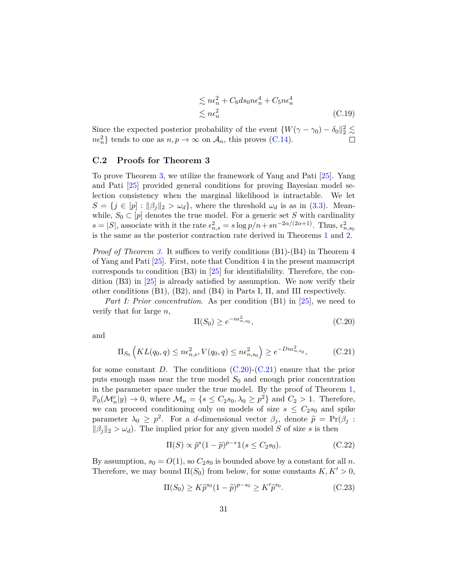$$
\lesssim n\epsilon_n^2 + C_6 ds_0 n\epsilon_n^4 + C_5 n\epsilon_n^4
$$
  

$$
\lesssim n\epsilon_n^2
$$
 (C.19)

Since the expected posterior probability of the event  $\{W(\gamma - \gamma_0) - \delta_0\|_2^2 \lesssim$  $n\epsilon_n^2$  tends to one as  $n, p \to \infty$  on  $\mathcal{A}_n$ , this proves [\(C.14\)](#page-28-0).

#### **C.2 Proofs for Theorem 3**

To prove Theorem [3,](#page-8-0) we utilize the framework of Yang and Pati [\[25\]](#page-16-4). Yang and Pati [\[25\]](#page-16-4) provided general conditions for proving Bayesian model selection consistency when the marginal likelihood is intractable. We let  $S = \{j \in [p] : ||\beta_j||_2 > \omega_d\}$ , where the threshold  $\omega_d$  is as in [\(3.3\)](#page-7-0). Meanwhile,  $S_0 \subset [p]$  denotes the true model. For a generic set *S* with cardinality  $s = |S|$ , associate with it the rate  $\epsilon_{n,s}^2 = s \log p/n + sn^{-2\alpha/(2\alpha+1)}$ . Thus,  $\epsilon_{n,s_0}^2$ is the same as the posterior contraction rate derived in Theorems [1](#page-6-0) and [2.](#page-6-1)

*Proof of Theorem [3.](#page-8-0)* It suffices to verify conditions (B1)-(B4) in Theorem 4 of Yang and Pati [\[25\]](#page-16-4). First, note that Condition 4 in the present manuscript corresponds to condition (B3) in [\[25\]](#page-16-4) for identifiability. Therefore, the condition (B3) in [\[25\]](#page-16-4) is already satisfied by assumption. We now verify their other conditions (B1), (B2), and (B4) in Parts I, II, and III respectively.

*Part I: Prior concentration.* As per condition (B1) in [\[25\]](#page-16-4), we need to verify that for large *n*,

<span id="page-30-0"></span>
$$
\Pi(S_0) \ge e^{-n\epsilon_{n,s_0}^2},\tag{C.20}
$$

and

<span id="page-30-1"></span>
$$
\Pi_{S_0}\left(KL(q_0, q) \le n\epsilon_{n,s}^2, V(q_0, q) \le n\epsilon_{n,s_0}^2\right) \ge e^{-Dn\epsilon_{n,s_0}^2},\tag{C.21}
$$

for some constant *D*. The conditions [\(C.20\)](#page-30-0)-[\(C.21\)](#page-30-1) ensure that the prior puts enough mass near the true model  $S_0$  and enough prior concentration in the parameter space under the true model. By the proof of Theorem [1,](#page-6-0)  $\mathbb{P}_0(\mathcal{M}_n^c | y) \to 0$ , where  $\mathcal{M}_n = \{s \le C_2s_0, \lambda_0 \ge p^2\}$  and  $C_2 > 1$ . Therefore, we can proceed conditioning only on models of size  $s \leq C_2 s_0$  and spike parameter  $\lambda_0 \geq p^2$ . For a *d*-dimensional vector  $\beta_j$ , denote  $\tilde{p} = Pr(\beta_j :$  $\|\beta_j\|_2 > \omega_d$ ). The implied prior for any given model *S* of size *s* is then

<span id="page-30-3"></span>
$$
\Pi(S) \propto \tilde{p}^s (1 - \tilde{p})^{p-s} \mathbb{1}(s \le C_2 s_0). \tag{C.22}
$$

By assumption,  $s_0 = O(1)$ , so  $C_2s_0$  is bounded above by a constant for all *n*. Therefore, we may bound  $\Pi(S_0)$  from below, for some constants  $K, K' > 0$ ,

<span id="page-30-2"></span>
$$
\Pi(S_0) \ge K \widetilde{p}^{s_0} (1 - \widetilde{p})^{p - s_0} \ge K' \widetilde{p}^{s_0}.
$$
\n(C.23)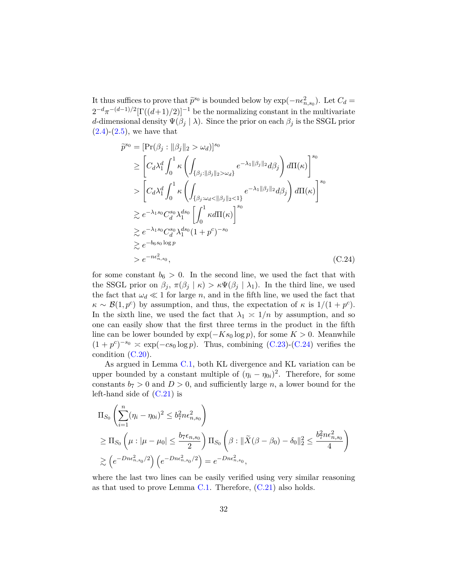It thus suffices to prove that  $\tilde{p}^{s_0}$  is bounded below by  $\exp(-n\epsilon_{n,s_0}^2)$ . Let  $C_d =$  $2^{-d} \pi^{-(d-1)/2} [\Gamma((d+1)/2)]^{-1}$  be the normalizing constant in the multivariate *d*-dimensional density  $\Psi(\beta_j | \lambda)$ . Since the prior on each  $\beta_j$  is the SSGL prior  $(2.4)-(2.5)$  $(2.4)-(2.5)$  $(2.4)-(2.5)$ , we have that

<span id="page-31-0"></span>
$$
\widetilde{p}^{s_0} = \left[\Pr(\beta_j : \|\beta_j\|_2 > \omega_d)\right]^{s_0}
$$
\n
$$
\geq \left[C_d\lambda_1^d \int_0^1 \kappa \left(\int_{\{\beta_j : \|\beta_j\|_2 > \omega_d\}} e^{-\lambda_1 \|\beta_j\|_2} d\beta_j \right) d\Pi(\kappa)\right]^{s_0}
$$
\n
$$
> \left[C_d\lambda_1^d \int_0^1 \kappa \left(\int_{\{\beta_j : \omega_d < \|\beta_j\|_2 < 1\}} e^{-\lambda_1 \|\beta_j\|_2} d\beta_j \right) d\Pi(\kappa)\right]^{s_0}
$$
\n
$$
\geq e^{-\lambda_1 s_0} C_d^{s_0} \lambda_1^{d s_0} \left[\int_0^1 \kappa d\Pi(\kappa)\right]^{s_0}
$$
\n
$$
\geq e^{-\lambda_1 s_0} C_d^{s_0} \lambda_1^{d s_0} (1 + p^c)^{-s_0}
$$
\n
$$
\geq e^{-b_6 s_0 \log p}
$$
\n
$$
> e^{-n\epsilon_{n, s_0}^2}, \qquad (C.24)
$$

for some constant  $b_6 > 0$ . In the second line, we used the fact that with the SSGL prior on  $\beta_j$ ,  $\pi(\beta_j | \kappa) > \kappa \Psi(\beta_j | \lambda_1)$ . In the third line, we used the fact that  $\omega_d \ll 1$  for large *n*, and in the fifth line, we used the fact that  $\kappa \sim \mathcal{B}(1, p^c)$  by assumption, and thus, the expectation of  $\kappa$  is  $1/(1 + p^c)$ . In the sixth line, we used the fact that  $\lambda_1 \geq 1/n$  by assumption, and so one can easily show that the first three terms in the product in the fifth line can be lower bounded by  $\exp(-Ks_0 \log p)$ , for some  $K > 0$ . Meanwhile  $(1 + p^c)^{-s_0} \approx \exp(-cs_0 \log p)$ . Thus, combining [\(C.23\)](#page-30-2)-[\(C.24\)](#page-31-0) verifies the condition [\(C.20\)](#page-30-0).

As argued in Lemma [C.1,](#page-21-1) both KL divergence and KL variation can be upper bounded by a constant multiple of  $(\eta_i - \eta_{0i})^2$ . Therefore, for some constants  $b_7 > 0$  and  $D > 0$ , and sufficiently large *n*, a lower bound for the left-hand side of  $(C.21)$  is

$$
\Pi_{S_0} \left( \sum_{i=1}^n (\eta_i - \eta_{0i})^2 \le b_7^2 n \epsilon_{n, s_0}^2 \right)
$$
\n
$$
\ge \Pi_{S_0} \left( \mu : |\mu - \mu_0| \le \frac{b_7 \epsilon_{n, s_0}}{2} \right) \Pi_{S_0} \left( \beta : ||\tilde{X}(\beta - \beta_0) - \delta_0||_2^2 \le \frac{b_7^2 n \epsilon_{n, s_0}^2}{4} \right)
$$
\n
$$
\ge \left( e^{-Dn \epsilon_{n, s_0}^2/2} \right) \left( e^{-Dn \epsilon_{n, s_0}^2/2} \right) = e^{-Dn \epsilon_{n, s_0}^2},
$$

where the last two lines can be easily verified using very similar reasoning as that used to prove Lemma [C.1.](#page-21-1) Therefore,  $(C.21)$  also holds.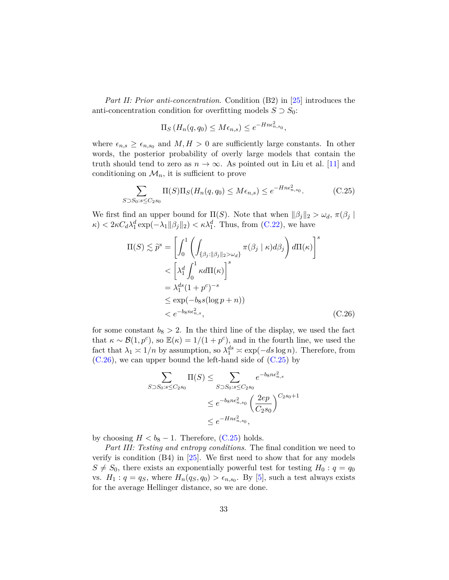*Part II: Prior anti-concentration*. Condition (B2) in [\[25\]](#page-16-4) introduces the anti-concentration condition for overfitting models  $S \supset S_0$ :

$$
\Pi_S(H_n(q, q_0) \le M\epsilon_{n,s}) \le e^{-Hn\epsilon_{n,s_0}^2},
$$

where  $\epsilon_{n,s} \geq \epsilon_{n,s_0}$  and  $M, H > 0$  are sufficiently large constants. In other words, the posterior probability of overly large models that contain the truth should tend to zero as  $n \to \infty$ . As pointed out in Liu et al. [\[11\]](#page-15-3) and conditioning on  $\mathcal{M}_n$ , it is sufficient to prove

<span id="page-32-1"></span>
$$
\sum_{0.50 \le s \le C_2 s_0} \Pi(S) \Pi_S(H_n(q, q_0) \le M\epsilon_{n,s}) \le e^{-Hn\epsilon_{n,s_0}^2}.
$$
 (C.25)

We first find an upper bound for  $\Pi(S)$ . Note that when  $\|\beta_j\|_2 > \omega_d$ ,  $\pi(\beta_j)$  $\kappa$   $\langle k \rangle$   $\langle 2 \kappa C_d \lambda_1^d \exp(-\lambda_1 ||\beta_j||_2) \langle \kappa \lambda_1^d$ . Thus, from [\(C.22\)](#page-30-3), we have

$$
\Pi(S) \lesssim \widetilde{p}^s = \left[ \int_0^1 \left( \int_{\{\beta_j : ||\beta_j||_2 > \omega_d\}} \pi(\beta_j \mid \kappa) d\beta_j \right) d\Pi(\kappa) \right]^s
$$
  

$$
< \left[ \lambda_1^d \int_0^1 \kappa d\Pi(\kappa) \right]^s
$$
  

$$
= \lambda_1^{ds} (1 + p^c)^{-s}
$$
  

$$
\leq \exp(-b_8 s (\log p + n))
$$
  

$$
< e^{-b_8 n \epsilon_{n,s}^2}, \qquad (C.26)
$$

for some constant  $b_8 > 2$ . In the third line of the display, we used the fact that  $\kappa \sim \mathcal{B}(1, p^c)$ , so  $\mathbb{E}(\kappa) = 1/(1 + p^c)$ , and in the fourth line, we used the fact that  $\lambda_1 \geq 1/n$  by assumption, so  $\lambda_1^{ds} \geq \exp(-ds \log n)$ . Therefore, from [\(C.26\)](#page-32-0), we can upper bound the left-hand side of [\(C.25\)](#page-32-1) by

<span id="page-32-0"></span>
$$
\sum_{S \supset S_0 : s \le C_2 s_0} \Pi(S) \le \sum_{S \supset S_0 : s \le C_2 s_0} e^{-b_8 n \epsilon_{n,s}^2}
$$

$$
\le e^{-b_8 n \epsilon_{n,s_0}^2} \left(\frac{2ep}{C_2 s_0}\right)^{C_2 s_0 + 1}
$$

$$
\le e^{-H n \epsilon_{n,s_0}^2},
$$

by choosing  $H < b_8 - 1$ . Therefore,  $(C.25)$  holds.

*S*⊃*S*0:*s*≤*C*2*s*<sup>0</sup>

*Part III: Testing and entropy conditions*. The final condition we need to verify is condition  $(B4)$  in  $[25]$ . We first need to show that for any models  $S \neq S_0$ , there exists an exponentially powerful test for testing  $H_0: q = q_0$ vs.  $H_1: q = q_S$ , where  $H_n(q_S, q_0) > \epsilon_{n,s_0}$ . By [\[5\]](#page-15-9), such a test always exists for the average Hellinger distance, so we are done.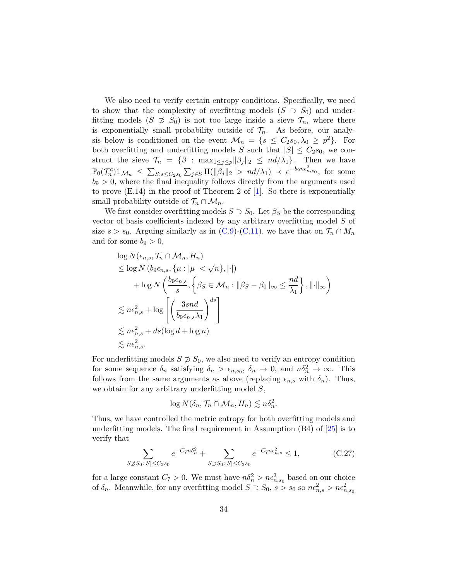We also need to verify certain entropy conditions. Specifically, we need to show that the complexity of overfitting models  $(S \supset S_0)$  and underfitting models  $(S \not\supseteq S_0)$  is not too large inside a sieve  $\mathcal{T}_n$ , where there is exponentially small probability outside of  $\mathcal{T}_n$ . As before, our analysis below is conditioned on the event  $\mathcal{M}_n = \{s \leq C_2s_0, \lambda_0 \geq p^2\}$ . For both overfitting and underfitting models *S* such that  $|S| \leq C_2 s_0$ , we construct the sieve  $\mathcal{T}_n = {\beta : \max_{1 \leq j \leq p} ||\beta_j||_2 \leq nd/\lambda_1}.$  Then we have  $\mathbb{P}_0(\mathcal{T}_n^c) \mathbb{1}_{\mathcal{M}_n} \le \sum_{S: s \le C_2 s_0} \sum_{j \in S} \Pi(\|\beta_j\|_2 > n d/\lambda_1) \prec e^{-b_9 n \epsilon_{n, s_0}^2}$ , for some  $b_9 > 0$ , where the final inequality follows directly from the arguments used to prove  $(E.14)$  in the proof of Theorem 2 of [\[1\]](#page-14-2). So there is exponentially small probability outside of  $\mathcal{T}_n \cap \mathcal{M}_n$ .

We first consider overfitting models  $S \supset S_0$ . Let  $\beta_S$  be the corresponding vector of basis coefficients indexed by any arbitrary overfitting model *S* of size  $s > s_0$ . Arguing similarly as in [\(C.9\)](#page-26-0)-[\(C.11\)](#page-26-2), we have that on  $\mathcal{T}_n \cap M_n$ and for some  $b_9 > 0$ ,

$$
\log N(\epsilon_{n,s}, \mathcal{T}_n \cap \mathcal{M}_n, H_n)
$$
\n
$$
\leq \log N(\theta_0 \epsilon_{n,s}, \{\mu : |\mu| < \sqrt{n}\}, |\cdot|)
$$
\n
$$
+ \log N\left(\frac{\theta_0 \epsilon_{n,s}}{s}, \left\{\beta_S \in \mathcal{M}_n : \|\beta_S - \beta_0\|_{\infty} \leq \frac{nd}{\lambda_1}\right\}, \|\cdot\|_{\infty}\right)
$$
\n
$$
\leq n\epsilon_{n,s}^2 + \log \left[\left(\frac{3snd}{\theta_0 \epsilon_{n,s} \lambda_1}\right)^{ds}\right]
$$
\n
$$
\leq n\epsilon_{n,s}^2 + ds(\log d + \log n)
$$
\n
$$
\leq n\epsilon_{n,s}^2.
$$

For underfitting models  $S \not\supseteq S_0$ , we also need to verify an entropy condition for some sequence  $\delta_n$  satisfying  $\delta_n > \epsilon_{n,s_0}$ ,  $\delta_n \to 0$ , and  $n\delta_n^2 \to \infty$ . This follows from the same arguments as above (replacing  $\epsilon_{n,s}$  with  $\delta_n$ ). Thus, we obtain for any arbitrary underfitting model *S*,

$$
\log N(\delta_n, \mathcal{T}_n \cap \mathcal{M}_n, H_n) \lesssim n\delta_n^2.
$$

Thus, we have controlled the metric entropy for both overfitting models and underfitting models. The final requirement in Assumption  $(B4)$  of  $[25]$  is to verify that

<span id="page-33-0"></span>
$$
\sum_{S \not\supset S_0: |S| \le C_2 s_0} e^{-C_7 n \delta_n^2} + \sum_{S \supset S_0: |S| \le C_2 s_0} e^{-C_7 n \epsilon_{n,s}^2} \le 1,
$$
 (C.27)

for a large constant  $C_7 > 0$ . We must have  $n\delta_n^2 > n\epsilon_{n,s_0}^2$  based on our choice of  $\delta_n$ . Meanwhile, for any overfitting model  $S \supset S_0$ ,  $s > s_0$  so  $n\epsilon_{n,s}^2 > n\epsilon_{n,s_0}^2$